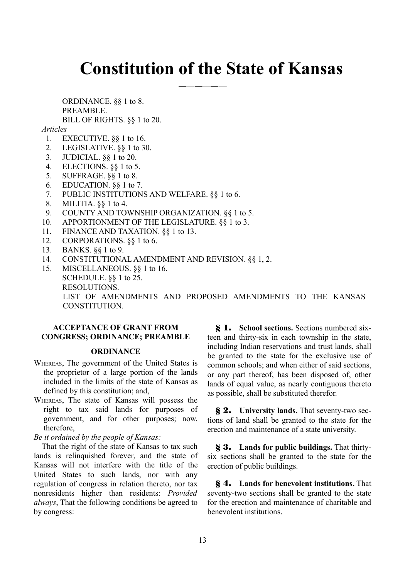# **Constitution of the State of Kansas**

―—―—―—

ORDINANCE. §§ 1 to 8. PREAMBLE. BILL OF RIGHTS. §§ 1 to 20.

*Articles*

- 1. EXECUTIVE. §§ 1 to 16.
- 2. LEGISLATIVE. §§ 1 to 30.
- 3. JUDICIAL. §§ 1 to 20.
- 4. ELECTIONS. §§ 1 to 5.
- 5. SUFFRAGE. §§ 1 to 8.
- 6. EDUCATION. §§ 1 to 7.
- 7. PUBLIC INSTITUTIONS AND WELFARE. §§ 1 to 6.
- 8. MILITIA. §§ 1 to 4.
- 9. COUNTY AND TOWNSHIP ORGANIZATION. §§ 1 to 5.
- 10. APPORTIONMENT OF THE LEGISLATURE. §§ 1 to 3.
- 11. FINANCE AND TAXATION. §§ 1 to 13.
- 12. CORPORATIONS.  $\S\S 1$  to 6.<br>13. BANKS.  $\S 1$  to 9.
- BANKS. §§ 1 to 9.
- 14. CONSTITUTIONAL AMENDMENT AND REVISION. §§ 1, 2.
- 15. MISCELLANEOUS. §§ 1 to 16. SCHEDULE. §§ 1 to 25. RESOLUTIONS. LIST OF AMENDMENTS AND PROPOSED AMENDMENTS TO THE KANSAS CONSTITUTION.

### **ACCEPTANCE OF GRANT FROM CONGRESS; ORDINANCE; PREAMBLE**

#### **ORDINANCE**

- WHEREAS, The government of the United States is the proprietor of a large portion of the lands included in the limits of the state of Kansas as defined by this constitution; and,
- WHEREAS, The state of Kansas will possess the right to tax said lands for purposes of government, and for other purposes; now, therefore,

*Be it ordained by the people of Kansas:*

That the right of the state of Kansas to tax such lands is relinquished forever, and the state of Kansas will not interfere with the title of the United States to such lands, nor with any regulation of congress in relation thereto, nor tax nonresidents higher than residents: *Provided always*, That the following conditions be agreed to by congress:

**§ 1. School sections.** Sections numbered sixteen and thirty-six in each township in the state, including Indian reservations and trust lands, shall be granted to the state for the exclusive use of common schools; and when either of said sections, or any part thereof, has been disposed of, other lands of equal value, as nearly contiguous thereto as possible, shall be substituted therefor.

**§ 2. University lands.** That seventy-two sections of land shall be granted to the state for the erection and maintenance of a state university.

**§ 3. Lands for public buildings.** That thirtysix sections shall be granted to the state for the erection of public buildings.

**§ 4. Lands for benevolent institutions.** That seventy-two sections shall be granted to the state for the erection and maintenance of charitable and benevolent institutions.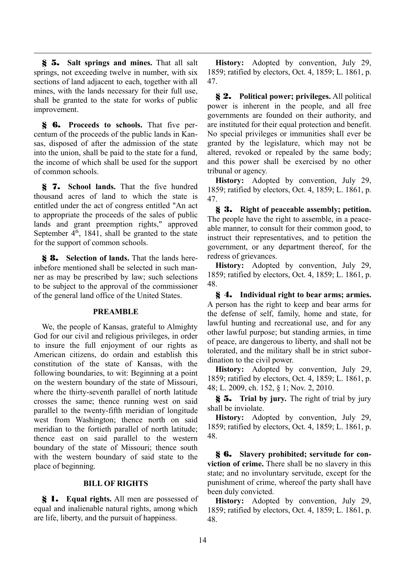**§ 5. Salt springs and mines.** That all salt springs, not exceeding twelve in number, with six sections of land adjacent to each, together with all mines, with the lands necessary for their full use, shall be granted to the state for works of public improvement.

**§ 6. Proceeds to schools.** That five percentum of the proceeds of the public lands in Kansas, disposed of after the admission of the state into the union, shall be paid to the state for a fund, the income of which shall be used for the support of common schools.

**§ 7. School lands.** That the five hundred thousand acres of land to which the state is entitled under the act of congress entitled "An act to appropriate the proceeds of the sales of public lands and grant preemption rights," approved September  $4<sup>th</sup>$ , 1841, shall be granted to the state for the support of common schools.

**§ 8. Selection of lands.** That the lands hereinbefore mentioned shall be selected in such manner as may be prescribed by law; such selections to be subject to the approval of the commissioner of the general land office of the United States.

### **PREAMBLE**

We, the people of Kansas, grateful to Almighty God for our civil and religious privileges, in order to insure the full enjoyment of our rights as American citizens, do ordain and establish this constitution of the state of Kansas, with the following boundaries, to wit: Beginning at a point on the western boundary of the state of Missouri, where the thirty-seventh parallel of north latitude crosses the same; thence running west on said parallel to the twenty-fifth meridian of longitude west from Washington; thence north on said meridian to the fortieth parallel of north latitude; thence east on said parallel to the western boundary of the state of Missouri; thence south with the western boundary of said state to the place of beginning.

### **BILL OF RIGHTS**

**§ 1. Equal rights.** All men are possessed of equal and inalienable natural rights, among which are life, liberty, and the pursuit of happiness.

**History:** Adopted by convention, July 29, 1859; ratified by electors, Oct. 4, 1859; L. 1861, p. 47.

**§ 2. Political power; privileges.** All political power is inherent in the people, and all free governments are founded on their authority, and are instituted for their equal protection and benefit. No special privileges or immunities shall ever be granted by the legislature, which may not be altered, revoked or repealed by the same body; and this power shall be exercised by no other tribunal or agency.

**History:** Adopted by convention, July 29, 1859; ratified by electors, Oct. 4, 1859; L. 1861, p. 47.

**§ 3. Right of peaceable assembly; petition.** The people have the right to assemble, in a peaceable manner, to consult for their common good, to instruct their representatives, and to petition the government, or any department thereof, for the redress of grievances.

**History:** Adopted by convention, July 29, 1859; ratified by electors, Oct. 4, 1859; L. 1861, p. 48.

**§ 4. Individual right to bear arms; armies.** A person has the right to keep and bear arms for the defense of self, family, home and state, for lawful hunting and recreational use, and for any other lawful purpose; but standing armies, in time of peace, are dangerous to liberty, and shall not be tolerated, and the military shall be in strict subordination to the civil power.

**History:** Adopted by convention, July 29, 1859; ratified by electors, Oct. 4, 1859; L. 1861, p. 48; L. 2009, ch. 152, § 1; Nov. 2, 2010.

**§ 5. Trial by jury.** The right of trial by jury shall be inviolate.

**History:** Adopted by convention, July 29, 1859; ratified by electors, Oct. 4, 1859; L. 1861, p. 48.

**§ 6. Slavery prohibited; servitude for conviction of crime.** There shall be no slavery in this state; and no involuntary servitude, except for the punishment of crime, whereof the party shall have been duly convicted.

**History:** Adopted by convention, July 29, 1859; ratified by electors, Oct. 4, 1859; L. 1861, p. 48.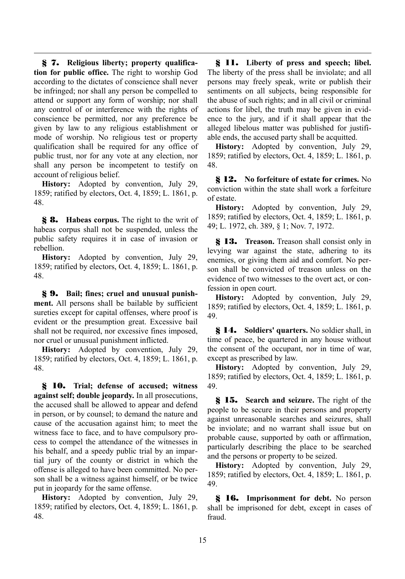**§ 7. Religious liberty; property qualification for public office.** The right to worship God according to the dictates of conscience shall never be infringed; nor shall any person be compelled to attend or support any form of worship; nor shall any control of or interference with the rights of conscience be permitted, nor any preference be given by law to any religious establishment or mode of worship. No religious test or property qualification shall be required for any office of public trust, nor for any vote at any election, nor shall any person be incompetent to testify on account of religious belief.

**History:** Adopted by convention, July 29, 1859; ratified by electors, Oct. 4, 1859; L. 1861, p. 48.

**§ 8. Habeas corpus.** The right to the writ of habeas corpus shall not be suspended, unless the public safety requires it in case of invasion or rebellion.

**History:** Adopted by convention, July 29, 1859; ratified by electors, Oct. 4, 1859; L. 1861, p. 48.

**§ 9. Bail; fines; cruel and unusual punishment.** All persons shall be bailable by sufficient sureties except for capital offenses, where proof is evident or the presumption great. Excessive bail shall not be required, nor excessive fines imposed, nor cruel or unusual punishment inflicted.

**History:** Adopted by convention, July 29, 1859; ratified by electors, Oct. 4, 1859; L. 1861, p. 48.

**§ 10. Trial; defense of accused; witness against self; double jeopardy.** In all prosecutions, the accused shall be allowed to appear and defend in person, or by counsel; to demand the nature and cause of the accusation against him; to meet the witness face to face, and to have compulsory process to compel the attendance of the witnesses in his behalf, and a speedy public trial by an impartial jury of the county or district in which the offense is alleged to have been committed. No person shall be a witness against himself, or be twice put in jeopardy for the same offense.

**History:** Adopted by convention, July 29, 1859; ratified by electors, Oct. 4, 1859; L. 1861, p. 48.

**§ 11. Liberty of press and speech; libel.** The liberty of the press shall be inviolate; and all persons may freely speak, write or publish their sentiments on all subjects, being responsible for the abuse of such rights; and in all civil or criminal actions for libel, the truth may be given in evidence to the jury, and if it shall appear that the alleged libelous matter was published for justifiable ends, the accused party shall be acquitted.

**History:** Adopted by convention, July 29, 1859; ratified by electors, Oct. 4, 1859; L. 1861, p. 48.

**§ 12. No forfeiture of estate for crimes.** No conviction within the state shall work a forfeiture of estate.

**History:** Adopted by convention, July 29, 1859; ratified by electors, Oct. 4, 1859; L. 1861, p. 49; L. 1972, ch. 389, § 1; Nov. 7, 1972.

**§ 13. Treason.** Treason shall consist only in levying war against the state, adhering to its enemies, or giving them aid and comfort. No person shall be convicted of treason unless on the evidence of two witnesses to the overt act, or confession in open court.

**History:** Adopted by convention, July 29, 1859; ratified by electors, Oct. 4, 1859; L. 1861, p. 49.

**§ 14. Soldiers' quarters.** No soldier shall, in time of peace, be quartered in any house without the consent of the occupant, nor in time of war, except as prescribed by law.

**History:** Adopted by convention, July 29, 1859; ratified by electors, Oct. 4, 1859; L. 1861, p. 49.

**§ 15. Search and seizure.** The right of the people to be secure in their persons and property against unreasonable searches and seizures, shall be inviolate; and no warrant shall issue but on probable cause, supported by oath or affirmation, particularly describing the place to be searched and the persons or property to be seized.

**History:** Adopted by convention, July 29, 1859; ratified by electors, Oct. 4, 1859; L. 1861, p. 49.

**§ 16. Imprisonment for debt.** No person shall be imprisoned for debt, except in cases of fraud.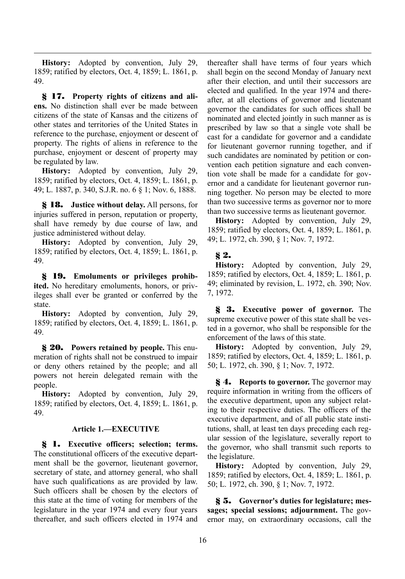**History:** Adopted by convention, July 29, 1859; ratified by electors, Oct. 4, 1859; L. 1861, p. 49.

**§ 17. Property rights of citizens and aliens.** No distinction shall ever be made between citizens of the state of Kansas and the citizens of other states and territories of the United States in reference to the purchase, enjoyment or descent of property. The rights of aliens in reference to the purchase, enjoyment or descent of property may be regulated by law.

**History:** Adopted by convention, July 29, 1859; ratified by electors, Oct. 4, 1859; L. 1861, p. 49; L. 1887, p. 340, S.J.R. no. 6 § 1; Nov. 6, 1888.

**§ 18. Justice without delay.** All persons, for injuries suffered in person, reputation or property, shall have remedy by due course of law, and justice administered without delay.

**History:** Adopted by convention, July 29, 1859; ratified by electors, Oct. 4, 1859; L. 1861, p. 49.

**§ 19. Emoluments or privileges prohibited.** No hereditary emoluments, honors, or privileges shall ever be granted or conferred by the state.

**History:** Adopted by convention, July 29, 1859; ratified by electors, Oct. 4, 1859; L. 1861, p. 49.

**§ 20. Powers retained by people.** This enumeration of rights shall not be construed to impair or deny others retained by the people; and all powers not herein delegated remain with the people.

**History:** Adopted by convention, July 29, 1859; ratified by electors, Oct. 4, 1859; L. 1861, p. 49.

### **Article 1.—EXECUTIVE**

**§ 1. Executive officers; selection; terms.** The constitutional officers of the executive department shall be the governor, lieutenant governor, secretary of state, and attorney general, who shall have such qualifications as are provided by law. Such officers shall be chosen by the electors of this state at the time of voting for members of the legislature in the year 1974 and every four years thereafter, and such officers elected in 1974 and thereafter shall have terms of four years which shall begin on the second Monday of January next after their election, and until their successors are elected and qualified. In the year 1974 and thereafter, at all elections of governor and lieutenant governor the candidates for such offices shall be nominated and elected jointly in such manner as is prescribed by law so that a single vote shall be cast for a candidate for governor and a candidate for lieutenant governor running together, and if such candidates are nominated by petition or convention each petition signature and each convention vote shall be made for a candidate for governor and a candidate for lieutenant governor running together. No person may be elected to more than two successive terms as governor nor to more than two successive terms as lieutenant governor.

**History:** Adopted by convention, July 29, 1859; ratified by electors, Oct. 4, 1859; L. 1861, p. 49; L. 1972, ch. 390, § 1; Nov. 7, 1972.

# **§ 2.**

**History:** Adopted by convention, July 29, 1859; ratified by electors, Oct. 4, 1859; L. 1861, p. 49; eliminated by revision, L. 1972, ch. 390; Nov. 7, 1972.

**§ 3. Executive power of governor.** The supreme executive power of this state shall be vested in a governor, who shall be responsible for the enforcement of the laws of this state.

**History:** Adopted by convention, July 29, 1859; ratified by electors, Oct. 4, 1859; L. 1861, p. 50; L. 1972, ch. 390, § 1; Nov. 7, 1972.

**§ 4. Reports to governor.** The governor may require information in writing from the officers of the executive department, upon any subject relating to their respective duties. The officers of the executive department, and of all public state institutions, shall, at least ten days preceding each regular session of the legislature, severally report to the governor, who shall transmit such reports to the legislature.

**History:** Adopted by convention, July 29, 1859; ratified by electors, Oct. 4, 1859; L. 1861, p. 50; L. 1972, ch. 390, § 1; Nov. 7, 1972.

**§ 5. Governor's duties for legislature; messages; special sessions; adjournment.** The governor may, on extraordinary occasions, call the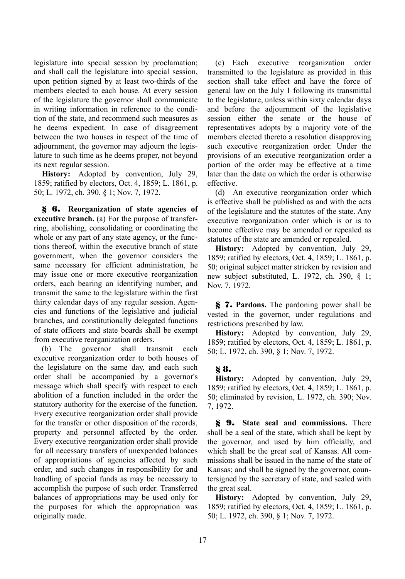legislature into special session by proclamation; and shall call the legislature into special session, upon petition signed by at least two-thirds of the members elected to each house. At every session of the legislature the governor shall communicate in writing information in reference to the condition of the state, and recommend such measures as he deems expedient. In case of disagreement between the two houses in respect of the time of adjournment, the governor may adjourn the legislature to such time as he deems proper, not beyond its next regular session.

**History:** Adopted by convention, July 29, 1859; ratified by electors, Oct. 4, 1859; L. 1861, p. 50; L. 1972, ch. 390, § 1; Nov. 7, 1972.

**§ 6. Reorganization of state agencies of executive branch.** (a) For the purpose of transferring, abolishing, consolidating or coordinating the whole or any part of any state agency, or the functions thereof, within the executive branch of state government, when the governor considers the same necessary for efficient administration, he may issue one or more executive reorganization orders, each bearing an identifying number, and transmit the same to the legislature within the first thirty calendar days of any regular session. Agencies and functions of the legislative and judicial branches, and constitutionally delegated functions of state officers and state boards shall be exempt from executive reorganization orders.

(b) The governor shall transmit each executive reorganization order to both houses of the legislature on the same day, and each such order shall be accompanied by a governor's message which shall specify with respect to each abolition of a function included in the order the statutory authority for the exercise of the function. Every executive reorganization order shall provide for the transfer or other disposition of the records, property and personnel affected by the order. Every executive reorganization order shall provide for all necessary transfers of unexpended balances of appropriations of agencies affected by such order, and such changes in responsibility for and handling of special funds as may be necessary to accomplish the purpose of such order. Transferred balances of appropriations may be used only for the purposes for which the appropriation was originally made.

(c) Each executive reorganization order transmitted to the legislature as provided in this section shall take effect and have the force of general law on the July 1 following its transmittal to the legislature, unless within sixty calendar days and before the adjournment of the legislative session either the senate or the house of representatives adopts by a majority vote of the members elected thereto a resolution disapproving such executive reorganization order. Under the provisions of an executive reorganization order a portion of the order may be effective at a time later than the date on which the order is otherwise effective.

(d) An executive reorganization order which is effective shall be published as and with the acts of the legislature and the statutes of the state. Any executive reorganization order which is or is to become effective may be amended or repealed as statutes of the state are amended or repealed.

**History:** Adopted by convention, July 29, 1859; ratified by electors, Oct. 4, 1859; L. 1861, p. 50; original subject matter stricken by revision and new subject substituted, L. 1972, ch. 390, § 1; Nov. 7, 1972.

**§ 7. Pardons.** The pardoning power shall be vested in the governor, under regulations and restrictions prescribed by law.

**History:** Adopted by convention, July 29, 1859; ratified by electors, Oct. 4, 1859; L. 1861, p. 50; L. 1972, ch. 390, § 1; Nov. 7, 1972.

# **§ 8.**

**History:** Adopted by convention, July 29, 1859; ratified by electors, Oct. 4, 1859; L. 1861, p. 50; eliminated by revision, L. 1972, ch. 390; Nov. 7, 1972.

**§ 9. State seal and commissions.** There shall be a seal of the state, which shall be kept by the governor, and used by him officially, and which shall be the great seal of Kansas. All commissions shall be issued in the name of the state of Kansas; and shall be signed by the governor, countersigned by the secretary of state, and sealed with the great seal.

**History:** Adopted by convention, July 29, 1859; ratified by electors, Oct. 4, 1859; L. 1861, p. 50; L. 1972, ch. 390, § 1; Nov. 7, 1972.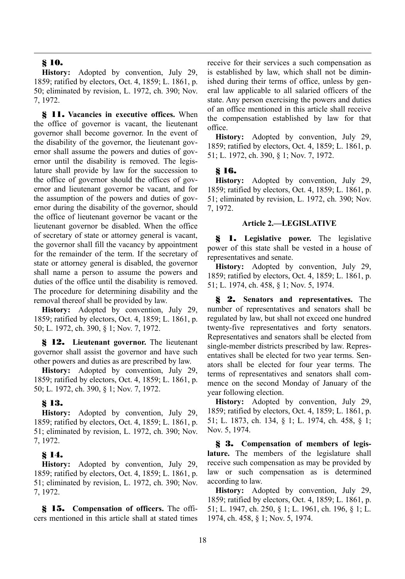### **§ 10.**

**History:** Adopted by convention, July 29, 1859; ratified by electors, Oct. 4, 1859; L. 1861, p. 50; eliminated by revision, L. 1972, ch. 390; Nov. 7, 1972.

**§ 11. Vacancies in executive offices.** When the office of governor is vacant, the lieutenant governor shall become governor. In the event of the disability of the governor, the lieutenant governor shall assume the powers and duties of governor until the disability is removed. The legislature shall provide by law for the succession to the office of governor should the offices of governor and lieutenant governor be vacant, and for the assumption of the powers and duties of governor during the disability of the governor, should the office of lieutenant governor be vacant or the lieutenant governor be disabled. When the office of secretary of state or attorney general is vacant, the governor shall fill the vacancy by appointment for the remainder of the term. If the secretary of state or attorney general is disabled, the governor shall name a person to assume the powers and duties of the office until the disability is removed. The procedure for determining disability and the removal thereof shall be provided by law.

**History:** Adopted by convention, July 29, 1859; ratified by electors, Oct. 4, 1859; L. 1861, p. 50; L. 1972, ch. 390, § 1; Nov. 7, 1972.

**§ 12. Lieutenant governor.** The lieutenant governor shall assist the governor and have such other powers and duties as are prescribed by law.

**History:** Adopted by convention, July 29, 1859; ratified by electors, Oct. 4, 1859; L. 1861, p. 50; L. 1972, ch. 390, § 1; Nov. 7, 1972.

### **§ 13.**

**History:** Adopted by convention, July 29, 1859; ratified by electors, Oct. 4, 1859; L. 1861, p. 51; eliminated by revision, L. 1972, ch. 390; Nov. 7, 1972.

### **§ 14.**

**History:** Adopted by convention, July 29, 1859; ratified by electors, Oct. 4, 1859; L. 1861, p. 51; eliminated by revision, L. 1972, ch. 390; Nov. 7, 1972.

**§ 15. Compensation of officers.** The officers mentioned in this article shall at stated times receive for their services a such compensation as is established by law, which shall not be diminished during their terms of office, unless by general law applicable to all salaried officers of the state. Any person exercising the powers and duties of an office mentioned in this article shall receive the compensation established by law for that office.

**History:** Adopted by convention, July 29, 1859; ratified by electors, Oct. 4, 1859; L. 1861, p. 51; L. 1972, ch. 390, § 1; Nov. 7, 1972.

### **§ 16.**

**History:** Adopted by convention, July 29, 1859; ratified by electors, Oct. 4, 1859; L. 1861, p. 51; eliminated by revision, L. 1972, ch. 390; Nov. 7, 1972.

#### **Article 2.—LEGISLATIVE**

**§ 1. Legislative power.** The legislative power of this state shall be vested in a house of representatives and senate.

**History:** Adopted by convention, July 29, 1859; ratified by electors, Oct. 4, 1859; L. 1861, p. 51; L. 1974, ch. 458, § 1; Nov. 5, 1974.

**§ 2. Senators and representatives.** The number of representatives and senators shall be regulated by law, but shall not exceed one hundred twenty-five representatives and forty senators. Representatives and senators shall be elected from single-member districts prescribed by law. Representatives shall be elected for two year terms. Senators shall be elected for four year terms. The terms of representatives and senators shall commence on the second Monday of January of the year following election.

**History:** Adopted by convention, July 29, 1859; ratified by electors, Oct. 4, 1859; L. 1861, p. 51; L. 1873, ch. 134, § 1; L. 1974, ch. 458, § 1; Nov. 5, 1974.

**§ 3. Compensation of members of legislature.** The members of the legislature shall receive such compensation as may be provided by law or such compensation as is determined according to law.

**History:** Adopted by convention, July 29, 1859; ratified by electors, Oct. 4, 1859; L. 1861, p. 51; L. 1947, ch. 250, § 1; L. 1961, ch. 196, § 1; L. 1974, ch. 458, § 1; Nov. 5, 1974.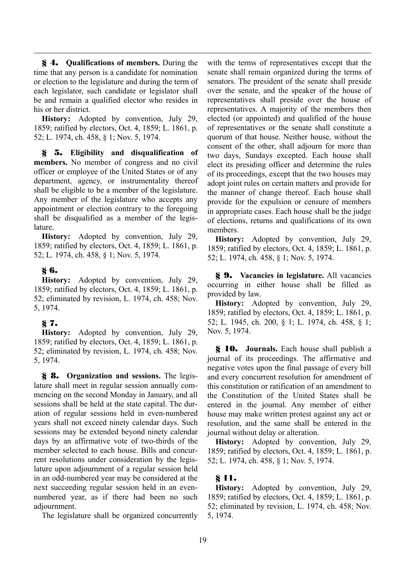**§ 4. Qualifications of members.** During the time that any person is a candidate for nomination or election to the legislature and during the term of each legislator, such candidate or legislator shall be and remain a qualified elector who resides in his or her district.

**History:** Adopted by convention, July 29, 1859; ratified by electors, Oct. 4, 1859; L. 1861, p. 52; L. 1974, ch. 458, § 1; Nov. 5, 1974.

**§ 5. Eligibility and disqualification of members.** No member of congress and no civil officer or employee of the United States or of any department, agency, or instrumentality thereof shall be eligible to be a member of the legislature. Any member of the legislature who accepts any appointment or election contrary to the foregoing shall be disqualified as a member of the legislature.

**History:** Adopted by convention, July 29, 1859; ratified by electors, Oct. 4, 1859; L. 1861, p. 52; L. 1974, ch. 458, § 1; Nov. 5, 1974.

# **§ 6.**

**History:** Adopted by convention, July 29, 1859; ratified by electors, Oct. 4, 1859; L. 1861, p. 52; eliminated by revision, L. 1974, ch. 458; Nov. 5, 1974.

# **§ 7.**

**History:** Adopted by convention, July 29, 1859; ratified by electors, Oct. 4, 1859; L. 1861, p. 52; eliminated by revision, L. 1974, ch. 458; Nov. 5, 1974.

**§ 8. Organization and sessions.** The legislature shall meet in regular session annually commencing on the second Monday in January, and all sessions shall be held at the state capital. The duration of regular sessions held in even-numbered years shall not exceed ninety calendar days. Such sessions may be extended beyond ninety calendar days by an affirmative vote of two-thirds of the member selected to each house. Bills and concurrent resolutions under consideration by the legislature upon adjournment of a regular session held in an odd-numbered year may be considered at the next succeeding regular session held in an evennumbered year, as if there had been no such adjournment.

The legislature shall be organized concurrently

with the terms of representatives except that the senate shall remain organized during the terms of senators. The president of the senate shall preside over the senate, and the speaker of the house of representatives shall preside over the house of representatives. A majority of the members then elected (or appointed) and qualified of the house of representatives or the senate shall constitute a quorum of that house. Neither house, without the consent of the other, shall adjourn for more than two days, Sundays excepted. Each house shall elect its presiding officer and determine the rules of its proceedings, except that the two houses may adopt joint rules on certain matters and provide for the manner of change thereof. Each house shall provide for the expulsion or censure of members in appropriate cases. Each house shall be the judge of elections, returns and qualifications of its own members.

**History:** Adopted by convention, July 29, 1859; ratified by electors, Oct. 4, 1859; L. 1861, p. 52; L. 1974, ch. 458, § 1; Nov. 5, 1974.

**§ 9. Vacancies in legislature.** All vacancies occurring in either house shall be filled as provided by law.

**History:** Adopted by convention, July 29, 1859; ratified by electors, Oct. 4, 1859; L. 1861, p. 52; L. 1945, ch. 200, § 1; L. 1974, ch. 458, § 1; Nov. 5, 1974.

**§ 10. Journals.** Each house shall publish a journal of its proceedings. The affirmative and negative votes upon the final passage of every bill and every concurrent resolution for amendment of this constitution or ratification of an amendment to the Constitution of the United States shall be entered in the journal. Any member of either house may make written protest against any act or resolution, and the same shall be entered in the journal without delay or alteration.

**History:** Adopted by convention, July 29, 1859; ratified by electors, Oct. 4, 1859; L. 1861, p. 52; L. 1974, ch. 458, § 1; Nov. 5, 1974.

# **§ 11.**

**History:** Adopted by convention, July 29, 1859; ratified by electors, Oct. 4, 1859; L. 1861, p. 52; eliminated by revision, L. 1974, ch. 458; Nov. 5, 1974.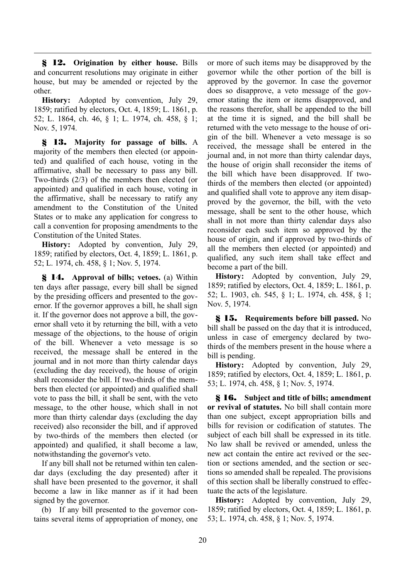**§ 12. Origination by either house.** Bills and concurrent resolutions may originate in either house, but may be amended or rejected by the other.

**History:** Adopted by convention, July 29, 1859; ratified by electors, Oct. 4, 1859; L. 1861, p. 52; L. 1864, ch. 46, § 1; L. 1974, ch. 458, § 1; Nov. 5, 1974.

**§ 13. Majority for passage of bills.** A majority of the members then elected (or appointed) and qualified of each house, voting in the affirmative, shall be necessary to pass any bill. Two-thirds (2/3) of the members then elected (or appointed) and qualified in each house, voting in the affirmative, shall be necessary to ratify any amendment to the Constitution of the United States or to make any application for congress to call a convention for proposing amendments to the Constitution of the United States.

**History:** Adopted by convention, July 29, 1859; ratified by electors, Oct. 4, 1859; L. 1861, p. 52; L. 1974, ch. 458, § 1; Nov. 5, 1974.

**§ 14. Approval of bills; vetoes.** (a) Within ten days after passage, every bill shall be signed by the presiding officers and presented to the governor. If the governor approves a bill, he shall sign it. If the governor does not approve a bill, the governor shall veto it by returning the bill, with a veto message of the objections, to the house of origin of the bill. Whenever a veto message is so received, the message shall be entered in the journal and in not more than thirty calendar days (excluding the day received), the house of origin shall reconsider the bill. If two-thirds of the members then elected (or appointed) and qualified shall vote to pass the bill, it shall be sent, with the veto message, to the other house, which shall in not more than thirty calendar days (excluding the day received) also reconsider the bill, and if approved by two-thirds of the members then elected (or appointed) and qualified, it shall become a law, notwithstanding the governor's veto.

If any bill shall not be returned within ten calendar days (excluding the day presented) after it shall have been presented to the governor, it shall become a law in like manner as if it had been signed by the governor.

(b) If any bill presented to the governor contains several items of appropriation of money, one

or more of such items may be disapproved by the governor while the other portion of the bill is approved by the governor. In case the governor does so disapprove, a veto message of the governor stating the item or items disapproved, and the reasons therefor, shall be appended to the bill at the time it is signed, and the bill shall be returned with the veto message to the house of origin of the bill. Whenever a veto message is so received, the message shall be entered in the journal and, in not more than thirty calendar days, the house of origin shall reconsider the items of the bill which have been disapproved. If twothirds of the members then elected (or appointed) and qualified shall vote to approve any item disapproved by the governor, the bill, with the veto message, shall be sent to the other house, which shall in not more than thirty calendar days also reconsider each such item so approved by the house of origin, and if approved by two-thirds of all the members then elected (or appointed) and qualified, any such item shall take effect and become a part of the bill.

**History:** Adopted by convention, July 29, 1859; ratified by electors, Oct. 4, 1859; L. 1861, p. 52; L. 1903, ch. 545, § 1; L. 1974, ch. 458, § 1; Nov. 5, 1974.

**§ 15. Requirements before bill passed.** No bill shall be passed on the day that it is introduced, unless in case of emergency declared by twothirds of the members present in the house where a bill is pending.

**History:** Adopted by convention, July 29, 1859; ratified by electors, Oct. 4, 1859; L. 1861, p. 53; L. 1974, ch. 458, § 1; Nov. 5, 1974.

**§ 16. Subject and title of bills; amendment or revival of statutes.** No bill shall contain more than one subject, except appropriation bills and bills for revision or codification of statutes. The subject of each bill shall be expressed in its title. No law shall be revived or amended, unless the new act contain the entire act revived or the section or sections amended, and the section or sections so amended shall be repealed. The provisions of this section shall be liberally construed to effectuate the acts of the legislature.

**History:** Adopted by convention, July 29, 1859; ratified by electors, Oct. 4, 1859; L. 1861, p. 53; L. 1974, ch. 458, § 1; Nov. 5, 1974.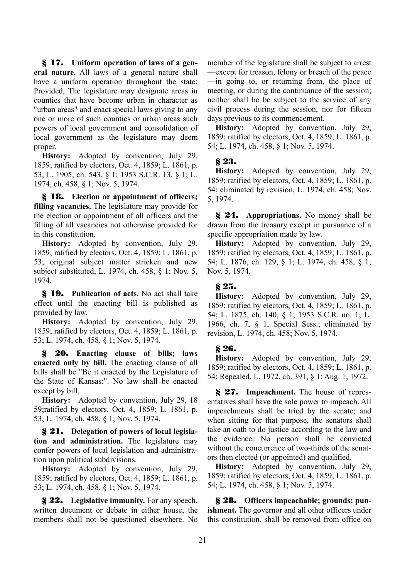**§ 17. Uniform operation of laws of a general nature.** All laws of a general nature shall have a uniform operation throughout the state: Provided, The legislature may designate areas in counties that have become urban in character as "urban areas" and enact special laws giving to any one or more of such counties or urban areas such powers of local government and consolidation of local government as the legislature may deem proper.

**History:** Adopted by convention, July 29, 1859; ratified by electors, Oct. 4, 1859; L. 1861, p. 53; L. 1905, ch. 543, § 1; 1953 S.C.R. 13, § 1; L. 1974, ch. 458, § 1; Nov. 5, 1974.

**§ 18. Election or appointment of officers; filling vacancies.** The legislature may provide for the election or appointment of all officers and the filling of all vacancies not otherwise provided for in this constitution.

**History:** Adopted by convention, July 29, 1859; ratified by electors, Oct. 4, 1859; L. 1861, p. 53; original subject matter stricken and new subject substituted, L. 1974, ch. 458, § 1; Nov. 5, 1974.

**§ 19. Publication of acts.** No act shall take effect until the enacting bill is published as provided by law.

**History:** Adopted by convention, July 29, 1859; ratified by electors, Oct. 4, 1859; L. 1861, p. 53; L. 1974, ch. 458, § 1; Nov. 5, 1974.

**§ 20. Enacting clause of bills; laws enacted only by bill.** The enacting clause of all bills shall be "Be it enacted by the Legislature of the State of Kansas:". No law shall be enacted except by bill.

**History:** Adopted by convention, July 29, 18 59;ratified by electors, Oct. 4, 1859; L. 1861, p. 53; L. 1974, ch. 458, § 1; Nov. 5, 1974.

**§ 21. Delegation of powers of local legislation and administration.** The legislature may confer powers of local legislation and administration upon political subdivisions.

**History:** Adopted by convention, July 29, 1859; ratified by electors, Oct. 4, 1859; L. 1861, p. 53; L. 1974, ch. 458, § 1; Nov. 5, 1974.

**§ 22. Legislative immunity.** For any speech, written document or debate in either house, the members shall not be questioned elsewhere. No

member of the legislature shall be subject to arrest —except for treason, felony or breach of the peace —in going to, or returning from, the place of meeting, or during the continuance of the session; neither shall he be subject to the service of any civil process during the session, nor for fifteen days previous to its commencement.

**History:** Adopted by convention, July 29, 1859; ratified by electors, Oct. 4, 1859; L. 1861, p. 54; L. 1974, ch. 458, § 1; Nov. 5, 1974.

# **§ 23.**

**History:** Adopted by convention, July 29, 1859; ratified by electors, Oct. 4, 1859; L. 1861, p. 54; eliminated by revision, L. 1974, ch. 458; Nov. 5, 1974.

**§ 24. Appropriations.** No money shall be drawn from the treasury except in pursuance of a specific appropriation made by law.

**History:** Adopted by convention, July 29, 1859; ratified by electors, Oct. 4, 1859; L. 1861, p. 54; L. 1876, ch. 129, § 1; L. 1974, ch. 458, § 1; Nov. 5, 1974.

# **§ 25.**

**History:** Adopted by convention, July 29, 1859; ratified by electors, Oct. 4, 1859; L. 1861, p. 54; L. 1875, ch. 140, § 1; 1953 S.C.R. no. 1; L. 1966, ch. 7, § 1, Special Sess.; eliminated by revision, L. 1974, ch. 458; Nov. 5, 1974.

# **§ 26.**

**History:** Adopted by convention, July 29, 1859; ratified by electors, Oct. 4, 1859; L. 1861, p. 54; Repealed, L. 1972, ch. 391, § 1; Aug. 1, 1972.

**§ 27. Impeachment.** The house of representatives shall have the sole power to impeach. All impeachments shall be tried by the senate; and when sitting for that purpose, the senators shall take an oath to do justice according to the law and the evidence. No person shall be convicted without the concurrence of two-thirds of the senators then elected (or appointed) and qualified.

**History:** Adopted by convention, July 29, 1859; ratified by electors, Oct. 4, 1859; L. 1861, p. 54; L. 1974, ch. 458, § 1; Nov. 5, 1974.

**§ 28. Officers impeachable; grounds; punishment.** The governor and all other officers under this constitution, shall be removed from office on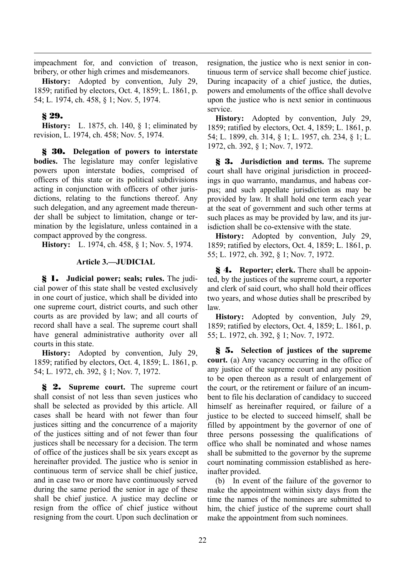impeachment for, and conviction of treason, bribery, or other high crimes and misdemeanors.

**History:** Adopted by convention, July 29, 1859; ratified by electors, Oct. 4, 1859; L. 1861, p. 54; L. 1974, ch. 458, § 1; Nov. 5, 1974.

### **§ 29.**

**History:** L. 1875, ch. 140, § 1; eliminated by revision, L. 1974, ch. 458; Nov. 5, 1974.

**§ 30. Delegation of powers to interstate bodies.** The legislature may confer legislative powers upon interstate bodies, comprised of officers of this state or its political subdivisions acting in conjunction with officers of other jurisdictions, relating to the functions thereof. Any such delegation, and any agreement made thereunder shall be subject to limitation, change or termination by the legislature, unless contained in a compact approved by the congress.

**History:** L. 1974, ch. 458, § 1; Nov. 5, 1974.

### **Article 3.—JUDICIAL**

**§ 1. Judicial power; seals; rules.** The judicial power of this state shall be vested exclusively in one court of justice, which shall be divided into one supreme court, district courts, and such other courts as are provided by law; and all courts of record shall have a seal. The supreme court shall have general administrative authority over all courts in this state.

**History:** Adopted by convention, July 29, 1859; ratified by electors, Oct. 4, 1859; L. 1861, p. 54; L. 1972, ch. 392, § 1; Nov. 7, 1972.

**§ 2. Supreme court.** The supreme court shall consist of not less than seven justices who shall be selected as provided by this article. All cases shall be heard with not fewer than four justices sitting and the concurrence of a majority of the justices sitting and of not fewer than four justices shall be necessary for a decision. The term of office of the justices shall be six years except as hereinafter provided. The justice who is senior in continuous term of service shall be chief justice, and in case two or more have continuously served during the same period the senior in age of these shall be chief justice. A justice may decline or resign from the office of chief justice without resigning from the court. Upon such declination or resignation, the justice who is next senior in continuous term of service shall become chief justice. During incapacity of a chief justice, the duties, powers and emoluments of the office shall devolve upon the justice who is next senior in continuous service.

**History:** Adopted by convention, July 29, 1859; ratified by electors, Oct. 4, 1859; L. 1861, p. 54; L. 1899, ch. 314, § 1; L. 1957, ch. 234, § 1; L. 1972, ch. 392, § 1; Nov. 7, 1972.

**§ 3. Jurisdiction and terms.** The supreme court shall have original jurisdiction in proceedings in quo warranto, mandamus, and habeas corpus; and such appellate jurisdiction as may be provided by law. It shall hold one term each year at the seat of government and such other terms at such places as may be provided by law, and its jurisdiction shall be co-extensive with the state.

**History:** Adopted by convention, July 29, 1859; ratified by electors, Oct. 4, 1859; L. 1861, p. 55; L. 1972, ch. 392, § 1; Nov. 7, 1972.

**§ 4. Reporter; clerk.** There shall be appointed, by the justices of the supreme court, a reporter and clerk of said court, who shall hold their offices two years, and whose duties shall be prescribed by law.

**History:** Adopted by convention, July 29, 1859; ratified by electors, Oct. 4, 1859; L. 1861, p. 55; L. 1972, ch. 392, § 1; Nov. 7, 1972.

**§ 5. Selection of justices of the supreme court.** (a) Any vacancy occurring in the office of any justice of the supreme court and any position to be open thereon as a result of enlargement of the court, or the retirement or failure of an incumbent to file his declaration of candidacy to succeed himself as hereinafter required, or failure of a justice to be elected to succeed himself, shall be filled by appointment by the governor of one of three persons possessing the qualifications of office who shall be nominated and whose names shall be submitted to the governor by the supreme court nominating commission established as hereinafter provided.

(b) In event of the failure of the governor to make the appointment within sixty days from the time the names of the nominees are submitted to him, the chief justice of the supreme court shall make the appointment from such nominees.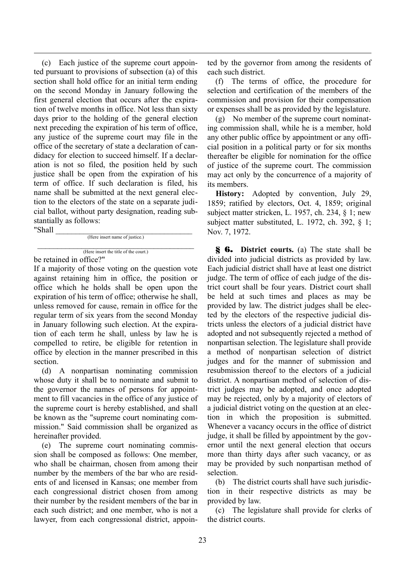(c) Each justice of the supreme court appointed pursuant to provisions of subsection (a) of this section shall hold office for an initial term ending on the second Monday in January following the first general election that occurs after the expiration of twelve months in office. Not less than sixty days prior to the holding of the general election next preceding the expiration of his term of office, any justice of the supreme court may file in the office of the secretary of state a declaration of candidacy for election to succeed himself. If a declaration is not so filed, the position held by such justice shall be open from the expiration of his term of office. If such declaration is filed, his name shall be submitted at the next general election to the electors of the state on a separate judicial ballot, without party designation, reading substantially as follows:

"Shall \_\_\_\_\_\_\_\_\_\_\_\_\_\_\_\_\_\_\_\_\_\_\_\_\_\_\_\_\_\_\_\_\_\_

(Here insert name of justice.)

 $\mathcal{L}_\text{max}$  , and the set of the set of the set of the set of the set of the set of the set of the set of the set of the set of the set of the set of the set of the set of the set of the set of the set of the set of the (Here insert the title of the court.)

be retained in office?"

If a majority of those voting on the question vote against retaining him in office, the position or office which he holds shall be open upon the expiration of his term of office; otherwise he shall, unless removed for cause, remain in office for the regular term of six years from the second Monday in January following such election. At the expiration of each term he shall, unless by law he is compelled to retire, be eligible for retention in office by election in the manner prescribed in this section.

(d) A nonpartisan nominating commission whose duty it shall be to nominate and submit to the governor the names of persons for appointment to fill vacancies in the office of any justice of the supreme court is hereby established, and shall be known as the "supreme court nominating commission." Said commission shall be organized as hereinafter provided.

(e) The supreme court nominating commission shall be composed as follows: One member, who shall be chairman, chosen from among their number by the members of the bar who are residents of and licensed in Kansas; one member from each congressional district chosen from among their number by the resident members of the bar in each such district; and one member, who is not a lawyer, from each congressional district, appointed by the governor from among the residents of each such district.

(f) The terms of office, the procedure for selection and certification of the members of the commission and provision for their compensation or expenses shall be as provided by the legislature.

(g) No member of the supreme court nominating commission shall, while he is a member, hold any other public office by appointment or any official position in a political party or for six months thereafter be eligible for nomination for the office of justice of the supreme court. The commission may act only by the concurrence of a majority of its members.

**History:** Adopted by convention, July 29, 1859; ratified by electors, Oct. 4, 1859; original subject matter stricken, L. 1957, ch. 234, § 1; new subject matter substituted, L. 1972, ch. 392, § 1; Nov. 7, 1972.

**§ 6. District courts.** (a) The state shall be divided into judicial districts as provided by law. Each judicial district shall have at least one district judge. The term of office of each judge of the district court shall be four years. District court shall be held at such times and places as may be provided by law. The district judges shall be elected by the electors of the respective judicial districts unless the electors of a judicial district have adopted and not subsequently rejected a method of nonpartisan selection. The legislature shall provide a method of nonpartisan selection of district judges and for the manner of submission and resubmission thereof to the electors of a judicial district. A nonpartisan method of selection of district judges may be adopted, and once adopted may be rejected, only by a majority of electors of a judicial district voting on the question at an election in which the proposition is submitted. Whenever a vacancy occurs in the office of district judge, it shall be filled by appointment by the governor until the next general election that occurs more than thirty days after such vacancy, or as may be provided by such nonpartisan method of selection.

(b) The district courts shall have such jurisdiction in their respective districts as may be provided by law.

(c) The legislature shall provide for clerks of the district courts.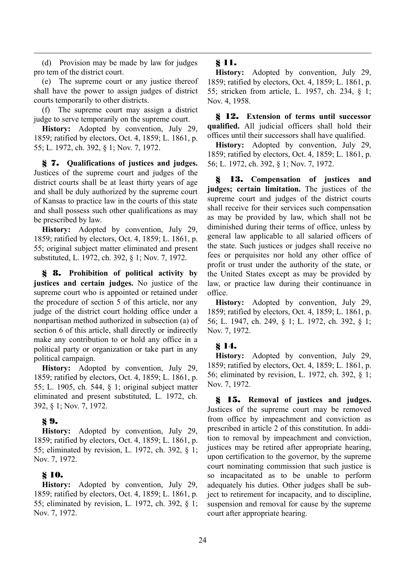(d) Provision may be made by law for judges pro tem of the district court.

(e) The supreme court or any justice thereof shall have the power to assign judges of district courts temporarily to other districts.

(f) The supreme court may assign a district judge to serve temporarily on the supreme court.

**History:** Adopted by convention, July 29, 1859; ratified by electors, Oct. 4, 1859; L. 1861, p. 55; L. 1972, ch. 392, § 1; Nov. 7, 1972.

**§ 7. Qualifications of justices and judges.** Justices of the supreme court and judges of the district courts shall be at least thirty years of age and shall be duly authorized by the supreme court of Kansas to practice law in the courts of this state and shall possess such other qualifications as may be prescribed by law.

**History:** Adopted by convention, July 29, 1859; ratified by electors, Oct. 4, 1859; L. 1861, p. 55; original subject matter eliminated and present substituted, L. 1972, ch. 392, § 1; Nov. 7, 1972.

**§ 8. Prohibition of political activity by justices and certain judges.** No justice of the supreme court who is appointed or retained under the procedure of section 5 of this article, nor any judge of the district court holding office under a nonpartisan method authorized in subsection (a) of section 6 of this article, shall directly or indirectly make any contribution to or hold any office in a political party or organization or take part in any political campaign.

**History:** Adopted by convention, July 29, 1859; ratified by electors, Oct. 4, 1859; L. 1861, p. 55; L. 1905, ch. 544, § 1; original subject matter eliminated and present substituted, L. 1972, ch. 392, § 1; Nov. 7, 1972.

# **§ 9.**

**History:** Adopted by convention, July 29, 1859; ratified by electors, Oct. 4, 1859; L. 1861, p. 55; eliminated by revision, L. 1972, ch. 392, § 1; Nov. 7, 1972.

# **§ 10.**

**History:** Adopted by convention, July 29, 1859; ratified by electors, Oct. 4, 1859; L. 1861, p. 55; eliminated by revision, L. 1972, ch. 392, § 1; Nov. 7, 1972.

# **§ 11.**

**History:** Adopted by convention, July 29, 1859; ratified by electors, Oct. 4, 1859; L. 1861, p. 55; stricken from article, L. 1957, ch. 234, § 1; Nov. 4, 1958.

**§ 12. Extension of terms until successor qualified.** All judicial officers shall hold their offices until their successors shall have qualified.

**History:** Adopted by convention, July 29, 1859; ratified by electors, Oct. 4, 1859; L. 1861, p. 56; L. 1972, ch. 392, § 1; Nov. 7, 1972.

**§ 13. Compensation of justices and judges; certain limitation.** The justices of the supreme court and judges of the district courts shall receive for their services such compensation as may be provided by law, which shall not be diminished during their terms of office, unless by general law applicable to all salaried officers of the state. Such justices or judges shall receive no fees or perquisites nor hold any other office of profit or trust under the authority of the state, or the United States except as may be provided by law, or practice law during their continuance in office.

**History:** Adopted by convention, July 29, 1859; ratified by electors, Oct. 4, 1859; L. 1861, p. 56; L. 1947, ch. 249, § 1; L. 1972, ch. 392, § 1; Nov. 7, 1972.

# **§ 14.**

**History:** Adopted by convention, July 29, 1859; ratified by electors, Oct. 4, 1859; L. 1861, p. 56; eliminated by revision, L. 1972, ch. 392, § 1; Nov. 7, 1972.

**§ 15. Removal of justices and judges.** Justices of the supreme court may be removed from office by impeachment and conviction as prescribed in article 2 of this constitution. In addition to removal by impeachment and conviction, justices may be retired after appropriate hearing, upon certification to the governor, by the supreme court nominating commission that such justice is so incapacitated as to be unable to perform adequately his duties. Other judges shall be subject to retirement for incapacity, and to discipline, suspension and removal for cause by the supreme court after appropriate hearing.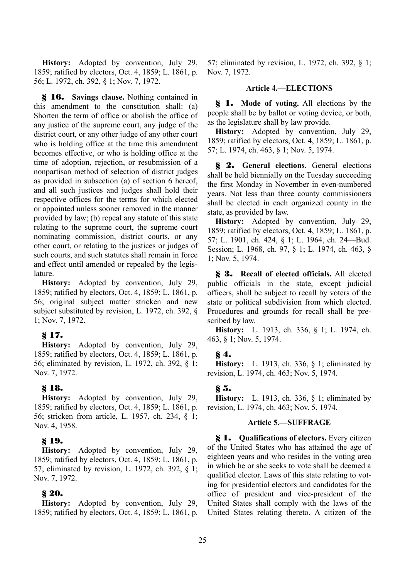**History:** Adopted by convention, July 29, 1859; ratified by electors, Oct. 4, 1859; L. 1861, p. 56; L. 1972, ch. 392, § 1; Nov. 7, 1972.

**§ 16. Savings clause.** Nothing contained in this amendment to the constitution shall: (a) Shorten the term of office or abolish the office of any justice of the supreme court, any judge of the district court, or any other judge of any other court who is holding office at the time this amendment becomes effective, or who is holding office at the time of adoption, rejection, or resubmission of a nonpartisan method of selection of district judges as provided in subsection (a) of section 6 hereof, and all such justices and judges shall hold their respective offices for the terms for which elected or appointed unless sooner removed in the manner provided by law; (b) repeal any statute of this state relating to the supreme court, the supreme court nominating commission, district courts, or any other court, or relating to the justices or judges of such courts, and such statutes shall remain in force and effect until amended or repealed by the legislature.

**History:** Adopted by convention, July 29, 1859; ratified by electors, Oct. 4, 1859; L. 1861, p. 56; original subject matter stricken and new subject substituted by revision, L. 1972, ch. 392, § 1; Nov. 7, 1972.

# **§ 17.**

**History:** Adopted by convention, July 29, 1859; ratified by electors, Oct. 4, 1859; L. 1861, p. 56; eliminated by revision, L. 1972, ch. 392, § 1; Nov. 7, 1972.

# **§ 18.**

**History:** Adopted by convention, July 29, 1859; ratified by electors, Oct. 4, 1859; L. 1861, p. 56; stricken from article, L. 1957, ch. 234, § 1; Nov. 4, 1958.

# **§ 19.**

**History:** Adopted by convention, July 29, 1859; ratified by electors, Oct. 4, 1859; L. 1861, p. 57; eliminated by revision, L. 1972, ch. 392, § 1; Nov. 7, 1972.

# **§ 20.**

**History:** Adopted by convention, July 29, 1859; ratified by electors, Oct. 4, 1859; L. 1861, p. 57; eliminated by revision, L. 1972, ch. 392, § 1; Nov. 7, 1972.

### **Article 4.—ELECTIONS**

**§ 1. Mode of voting.** All elections by the people shall be by ballot or voting device, or both, as the legislature shall by law provide.

**History:** Adopted by convention, July 29, 1859; ratified by electors, Oct. 4, 1859; L. 1861, p. 57; L. 1974, ch. 463, § 1; Nov. 5, 1974.

**§ 2. General elections.** General elections shall be held biennially on the Tuesday succeeding the first Monday in November in even-numbered years. Not less than three county commissioners shall be elected in each organized county in the state, as provided by law.

**History:** Adopted by convention, July 29, 1859; ratified by electors, Oct. 4, 1859; L. 1861, p. 57; L. 1901, ch. 424, § 1; L. 1964, ch. 24—Bud. Session; L. 1968, ch. 97, § 1; L. 1974, ch. 463, § 1; Nov. 5, 1974.

**§ 3. Recall of elected officials.** All elected public officials in the state, except judicial officers, shall be subject to recall by voters of the state or political subdivision from which elected. Procedures and grounds for recall shall be prescribed by law.

**History:** L. 1913, ch. 336, § 1; L. 1974, ch. 463, § 1; Nov. 5, 1974.

# **§ 4.**

**History:** L. 1913, ch. 336, § 1; eliminated by revision, L. 1974, ch. 463; Nov. 5, 1974.

# **§ 5.**

**History:** L. 1913, ch. 336, § 1; eliminated by revision, L. 1974, ch. 463; Nov. 5, 1974.

# **Article 5.—SUFFRAGE**

**§ 1. Qualifications of electors.** Every citizen of the United States who has attained the age of eighteen years and who resides in the voting area in which he or she seeks to vote shall be deemed a qualified elector. Laws of this state relating to voting for presidential electors and candidates for the office of president and vice-president of the United States shall comply with the laws of the United States relating thereto. A citizen of the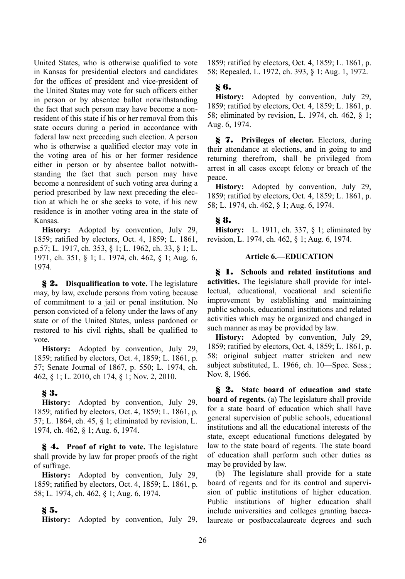United States, who is otherwise qualified to vote in Kansas for presidential electors and candidates for the offices of president and vice-president of the United States may vote for such officers either in person or by absentee ballot notwithstanding the fact that such person may have become a nonresident of this state if his or her removal from this state occurs during a period in accordance with federal law next preceding such election. A person who is otherwise a qualified elector may vote in the voting area of his or her former residence either in person or by absentee ballot notwithstanding the fact that such person may have become a nonresident of such voting area during a period prescribed by law next preceding the election at which he or she seeks to vote, if his new residence is in another voting area in the state of Kansas.

**History:** Adopted by convention, July 29, 1859; ratified by electors, Oct. 4, 1859; L. 1861, p.57; L. 1917, ch. 353, § 1; L. 1962, ch. 33, § 1; L. 1971, ch. 351, § 1; L. 1974, ch. 462, § 1; Aug. 6, 1974.

**§ 2. Disqualification to vote.** The legislature may, by law, exclude persons from voting because of commitment to a jail or penal institution. No person convicted of a felony under the laws of any state or of the United States, unless pardoned or restored to his civil rights, shall be qualified to vote.

**History:** Adopted by convention, July 29, 1859; ratified by electors, Oct. 4, 1859; L. 1861, p. 57; Senate Journal of 1867, p. 550; L. 1974, ch. 462, § 1; L. 2010, ch 174, § 1; Nov. 2, 2010.

# **§ 3.**

**History:** Adopted by convention, July 29, 1859; ratified by electors, Oct. 4, 1859; L. 1861, p. 57; L. 1864, ch. 45, § 1; eliminated by revision, L. 1974, ch. 462, § 1; Aug. 6, 1974.

**§ 4. Proof of right to vote.** The legislature shall provide by law for proper proofs of the right of suffrage.

**History:** Adopted by convention, July 29, 1859; ratified by electors, Oct. 4, 1859; L. 1861, p. 58; L. 1974, ch. 462, § 1; Aug. 6, 1974.

# **§ 5.**

**History:** Adopted by convention, July 29,

1859; ratified by electors, Oct. 4, 1859; L. 1861, p. 58; Repealed, L. 1972, ch. 393, § 1; Aug. 1, 1972.

# **§ 6.**

**History:** Adopted by convention, July 29, 1859; ratified by electors, Oct. 4, 1859; L. 1861, p. 58; eliminated by revision, L. 1974, ch. 462, § 1; Aug. 6, 1974.

**§ 7. Privileges of elector.** Electors, during their attendance at elections, and in going to and returning therefrom, shall be privileged from arrest in all cases except felony or breach of the peace.

**History:** Adopted by convention, July 29, 1859; ratified by electors, Oct. 4, 1859; L. 1861, p. 58; L. 1974, ch. 462, § 1; Aug. 6, 1974.

# **§ 8.**

**History:** L. 1911, ch. 337, § 1; eliminated by revision, L. 1974, ch. 462, § 1; Aug. 6, 1974.

### **Article 6.—EDUCATION**

**§ 1. Schools and related institutions and activities.** The legislature shall provide for intellectual, educational, vocational and scientific improvement by establishing and maintaining public schools, educational institutions and related activities which may be organized and changed in such manner as may be provided by law.

**History:** Adopted by convention, July 29, 1859; ratified by electors, Oct. 4, 1859; L. 1861, p. 58; original subject matter stricken and new subject substituted, L. 1966, ch. 10-Spec. Sess.; Nov. 8, 1966.

**§ 2. State board of education and state board of regents.** (a) The legislature shall provide for a state board of education which shall have general supervision of public schools, educational institutions and all the educational interests of the state, except educational functions delegated by law to the state board of regents. The state board of education shall perform such other duties as may be provided by law.

(b) The legislature shall provide for a state board of regents and for its control and supervision of public institutions of higher education. Public institutions of higher education shall include universities and colleges granting baccalaureate or postbaccalaureate degrees and such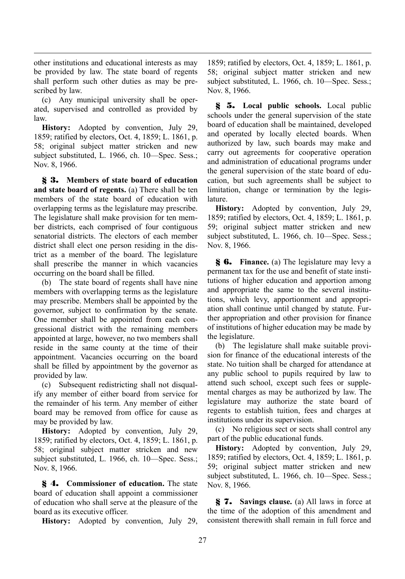other institutions and educational interests as may be provided by law. The state board of regents shall perform such other duties as may be prescribed by law.

(c) Any municipal university shall be operated, supervised and controlled as provided by law.

**History:** Adopted by convention, July 29, 1859; ratified by electors, Oct. 4, 1859; L. 1861, p. 58; original subject matter stricken and new subject substituted, L. 1966, ch. 10-Spec. Sess.; Nov. 8, 1966.

**§ 3. Members of state board of education and state board of regents.** (a) There shall be ten members of the state board of education with overlapping terms as the legislature may prescribe. The legislature shall make provision for ten member districts, each comprised of four contiguous senatorial districts. The electors of each member district shall elect one person residing in the district as a member of the board. The legislature shall prescribe the manner in which vacancies occurring on the board shall be filled.

(b) The state board of regents shall have nine members with overlapping terms as the legislature may prescribe. Members shall be appointed by the governor, subject to confirmation by the senate. One member shall be appointed from each congressional district with the remaining members appointed at large, however, no two members shall reside in the same county at the time of their appointment. Vacancies occurring on the board shall be filled by appointment by the governor as provided by law.

(c) Subsequent redistricting shall not disqualify any member of either board from service for the remainder of his term. Any member of either board may be removed from office for cause as may be provided by law.

**History:** Adopted by convention, July 29, 1859; ratified by electors, Oct. 4, 1859; L. 1861, p. 58; original subject matter stricken and new subject substituted, L. 1966, ch. 10-Spec. Sess.; Nov. 8, 1966.

**§ 4. Commissioner of education.** The state board of education shall appoint a commissioner of education who shall serve at the pleasure of the board as its executive officer.

**History:** Adopted by convention, July 29,

1859; ratified by electors, Oct. 4, 1859; L. 1861, p. 58; original subject matter stricken and new subject substituted, L. 1966, ch. 10-Spec. Sess.; Nov. 8, 1966.

**§ 5. Local public schools.** Local public schools under the general supervision of the state board of education shall be maintained, developed and operated by locally elected boards. When authorized by law, such boards may make and carry out agreements for cooperative operation and administration of educational programs under the general supervision of the state board of education, but such agreements shall be subject to limitation, change or termination by the legislature.

**History:** Adopted by convention, July 29, 1859; ratified by electors, Oct. 4, 1859; L. 1861, p. 59; original subject matter stricken and new subject substituted, L. 1966, ch. 10-Spec. Sess.; Nov. 8, 1966.

**§ 6. Finance.** (a) The legislature may levy a permanent tax for the use and benefit of state institutions of higher education and apportion among and appropriate the same to the several institutions, which levy, apportionment and appropriation shall continue until changed by statute. Further appropriation and other provision for finance of institutions of higher education may be made by the legislature.

(b) The legislature shall make suitable provision for finance of the educational interests of the state. No tuition shall be charged for attendance at any public school to pupils required by law to attend such school, except such fees or supplemental charges as may be authorized by law. The legislature may authorize the state board of regents to establish tuition, fees and charges at institutions under its supervision.

(c) No religious sect or sects shall control any part of the public educational funds.

**History:** Adopted by convention, July 29, 1859; ratified by electors, Oct. 4, 1859; L. 1861, p. 59; original subject matter stricken and new subject substituted, L. 1966, ch. 10-Spec. Sess.; Nov. 8, 1966.

**§ 7. Savings clause.** (a) All laws in force at the time of the adoption of this amendment and consistent therewith shall remain in full force and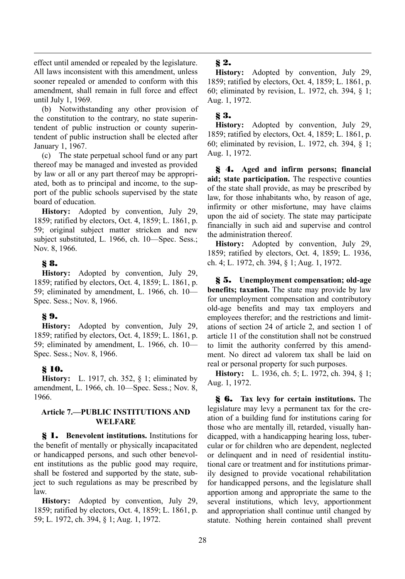effect until amended or repealed by the legislature. All laws inconsistent with this amendment, unless sooner repealed or amended to conform with this amendment, shall remain in full force and effect until July 1, 1969.

(b) Notwithstanding any other provision of the constitution to the contrary, no state superintendent of public instruction or county superintendent of public instruction shall be elected after January 1, 1967.

(c) The state perpetual school fund or any part thereof may be managed and invested as provided by law or all or any part thereof may be appropriated, both as to principal and income, to the support of the public schools supervised by the state board of education.

**History:** Adopted by convention, July 29, 1859; ratified by electors, Oct. 4, 1859; L. 1861, p. 59; original subject matter stricken and new subject substituted, L. 1966, ch. 10—Spec. Sess.; Nov. 8, 1966.

# **§ 8.**

**History:** Adopted by convention, July 29, 1859; ratified by electors, Oct. 4, 1859; L. 1861, p. 59; eliminated by amendment, L. 1966, ch. 10— Spec. Sess.; Nov. 8, 1966.

# **§ 9.**

**History:** Adopted by convention, July 29, 1859; ratified by electors, Oct. 4, 1859; L. 1861, p. 59; eliminated by amendment, L. 1966, ch. 10— Spec. Sess.; Nov. 8, 1966.

# **§ 10.**

**History:** L. 1917, ch. 352, § 1; eliminated by amendment, L. 1966, ch. 10—Spec. Sess.; Nov. 8, 1966.

### **Article 7.—PUBLIC INSTITUTIONS AND WELFARE**

**§ 1. Benevolent institutions.** Institutions for the benefit of mentally or physically incapacitated or handicapped persons, and such other benevolent institutions as the public good may require, shall be fostered and supported by the state, subject to such regulations as may be prescribed by law.

**History:** Adopted by convention, July 29, 1859; ratified by electors, Oct. 4, 1859; L. 1861, p. 59; L. 1972, ch. 394, § 1; Aug. 1, 1972.

# **§ 2.**

**History:** Adopted by convention, July 29, 1859; ratified by electors, Oct. 4, 1859; L. 1861, p. 60; eliminated by revision, L. 1972, ch. 394, § 1; Aug. 1, 1972.

# **§ 3.**

**History:** Adopted by convention, July 29, 1859; ratified by electors, Oct. 4, 1859; L. 1861, p. 60; eliminated by revision, L. 1972, ch. 394, § 1; Aug. 1, 1972.

**§ 4. Aged and infirm persons; financial aid; state participation.** The respective counties of the state shall provide, as may be prescribed by law, for those inhabitants who, by reason of age, infirmity or other misfortune, may have claims upon the aid of society. The state may participate financially in such aid and supervise and control the administration thereof.

**History:** Adopted by convention, July 29, 1859; ratified by electors, Oct. 4, 1859; L. 1936, ch. 4; L. 1972, ch. 394, § 1; Aug. 1, 1972.

**§ 5. Unemployment compensation; old-age benefits; taxation.** The state may provide by law for unemployment compensation and contributory old-age benefits and may tax employers and employees therefor; and the restrictions and limitations of section 24 of article 2, and section 1 of article 11 of the constitution shall not be construed to limit the authority conferred by this amendment. No direct ad valorem tax shall be laid on real or personal property for such purposes.

**History:** L. 1936, ch. 5; L. 1972, ch. 394, § 1; Aug. 1, 1972.

**§ 6. Tax levy for certain institutions.** The legislature may levy a permanent tax for the creation of a building fund for institutions caring for those who are mentally ill, retarded, visually handicapped, with a handicapping hearing loss, tubercular or for children who are dependent, neglected or delinquent and in need of residential institutional care or treatment and for institutions primarily designed to provide vocational rehabilitation for handicapped persons, and the legislature shall apportion among and appropriate the same to the several institutions, which levy, apportionment and appropriation shall continue until changed by statute. Nothing herein contained shall prevent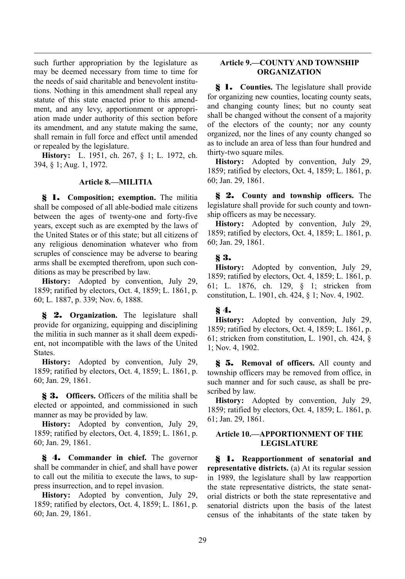such further appropriation by the legislature as may be deemed necessary from time to time for the needs of said charitable and benevolent institutions. Nothing in this amendment shall repeal any statute of this state enacted prior to this amendment, and any levy, apportionment or appropriation made under authority of this section before its amendment, and any statute making the same, shall remain in full force and effect until amended or repealed by the legislature.

**History:** L. 1951, ch. 267, § 1; L. 1972, ch. 394, § 1; Aug. 1, 1972.

### **Article 8.—MILITIA**

**§ 1. Composition; exemption.** The militia shall be composed of all able-bodied male citizens between the ages of twenty-one and forty-five years, except such as are exempted by the laws of the United States or of this state; but all citizens of any religious denomination whatever who from scruples of conscience may be adverse to bearing arms shall be exempted therefrom, upon such conditions as may be prescribed by law.

**History:** Adopted by convention, July 29, 1859; ratified by electors, Oct. 4, 1859; L. 1861, p. 60; L. 1887, p. 339; Nov. 6, 1888.

**§ 2. Organization.** The legislature shall provide for organizing, equipping and disciplining the militia in such manner as it shall deem expedient, not incompatible with the laws of the United States.

**History:** Adopted by convention, July 29, 1859; ratified by electors, Oct. 4, 1859; L. 1861, p. 60; Jan. 29, 1861.

**§ 3. Officers.** Officers of the militia shall be elected or appointed, and commissioned in such manner as may be provided by law.

**History:** Adopted by convention, July 29, 1859; ratified by electors, Oct. 4, 1859; L. 1861, p. 60; Jan. 29, 1861.

**§ 4. Commander in chief.** The governor shall be commander in chief, and shall have power to call out the militia to execute the laws, to suppress insurrection, and to repel invasion.

**History:** Adopted by convention, July 29, 1859; ratified by electors, Oct. 4, 1859; L. 1861, p. 60; Jan. 29, 1861.

### **Article 9.—COUNTY AND TOWNSHIP ORGANIZATION**

**§ 1. Counties.** The legislature shall provide for organizing new counties, locating county seats, and changing county lines; but no county seat shall be changed without the consent of a majority of the electors of the county; nor any county organized, nor the lines of any county changed so as to include an area of less than four hundred and thirty-two square miles.

**History:** Adopted by convention, July 29, 1859; ratified by electors, Oct. 4, 1859; L. 1861, p. 60; Jan. 29, 1861.

**§ 2. County and township officers.** The legislature shall provide for such county and township officers as may be necessary.

**History:** Adopted by convention, July 29, 1859; ratified by electors, Oct. 4, 1859; L. 1861, p. 60; Jan. 29, 1861.

# **§ 3.**

**History:** Adopted by convention, July 29, 1859; ratified by electors, Oct. 4, 1859; L. 1861, p. 61; L. 1876, ch. 129, § 1; stricken from constitution, L. 1901, ch. 424, § 1; Nov. 4, 1902.

# **§ 4.**

**History:** Adopted by convention, July 29, 1859; ratified by electors, Oct. 4, 1859; L. 1861, p. 61; stricken from constitution, L. 1901, ch. 424, § 1; Nov. 4, 1902.

**§ 5. Removal of officers.** All county and township officers may be removed from office, in such manner and for such cause, as shall be prescribed by law.

**History:** Adopted by convention, July 29, 1859; ratified by electors, Oct. 4, 1859; L. 1861, p. 61; Jan. 29, 1861.

### **Article 10.—APPORTIONMENT OF THE LEGISLATURE**

**§ 1. Reapportionment of senatorial and representative districts.** (a) At its regular session in 1989, the legislature shall by law reapportion the state representative districts, the state senatorial districts or both the state representative and senatorial districts upon the basis of the latest census of the inhabitants of the state taken by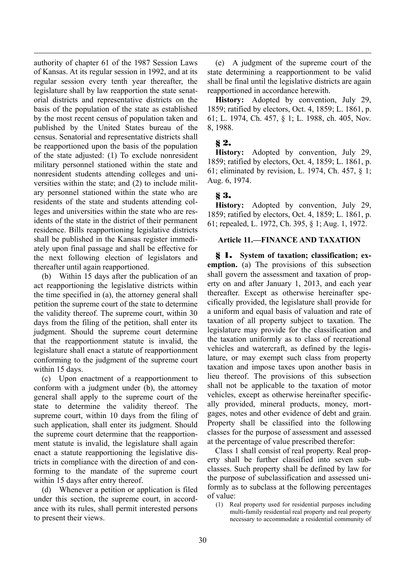authority of chapter 61 of the 1987 Session Laws of Kansas. At its regular session in 1992, and at its regular session every tenth year thereafter, the legislature shall by law reapportion the state senatorial districts and representative districts on the basis of the population of the state as established by the most recent census of population taken and published by the United States bureau of the census. Senatorial and representative districts shall be reapportioned upon the basis of the population of the state adjusted: (1) To exclude nonresident military personnel stationed within the state and nonresident students attending colleges and universities within the state; and (2) to include military personnel stationed within the state who are residents of the state and students attending colleges and universities within the state who are residents of the state in the district of their permanent residence. Bills reapportioning legislative districts shall be published in the Kansas register immediately upon final passage and shall be effective for the next following election of legislators and thereafter until again reapportioned.

(b) Within 15 days after the publication of an act reapportioning the legislative districts within the time specified in (a), the attorney general shall petition the supreme court of the state to determine the validity thereof. The supreme court, within 30 days from the filing of the petition, shall enter its judgment. Should the supreme court determine that the reapportionment statute is invalid, the legislature shall enact a statute of reapportionment conforming to the judgment of the supreme court within 15 days.

(c) Upon enactment of a reapportionment to conform with a judgment under (b), the attorney general shall apply to the supreme court of the state to determine the validity thereof. The supreme court, within 10 days from the filing of such application, shall enter its judgment. Should the supreme court determine that the reapportionment statute is invalid, the legislature shall again enact a statute reapportioning the legislative districts in compliance with the direction of and conforming to the mandate of the supreme court within 15 days after entry thereof.

(d) Whenever a petition or application is filed under this section, the supreme court, in accordance with its rules, shall permit interested persons to present their views.

(e) A judgment of the supreme court of the state determining a reapportionment to be valid shall be final until the legislative districts are again reapportioned in accordance herewith.

**History:** Adopted by convention, July 29, 1859; ratified by electors, Oct. 4, 1859; L. 1861, p. 61; L. 1974, Ch. 457, § 1; L. 1988, ch. 405, Nov. 8, 1988.

# **§ 2.**

**History:** Adopted by convention, July 29, 1859; ratified by electors, Oct. 4, 1859; L. 1861, p. 61; eliminated by revision, L. 1974, Ch. 457, § 1; Aug. 6, 1974.

# **§ 3.**

**History:** Adopted by convention, July 29, 1859; ratified by electors, Oct. 4, 1859; L. 1861, p. 61; repealed, L. 1972, Ch. 395, § 1; Aug. 1, 1972.

# **Article 11.—FINANCE AND TAXATION**

**§ 1. System of taxation; classification; exemption.** (a) The provisions of this subsection shall govern the assessment and taxation of property on and after January 1, 2013, and each year thereafter. Except as otherwise hereinafter specifically provided, the legislature shall provide for a uniform and equal basis of valuation and rate of taxation of all property subject to taxation. The legislature may provide for the classification and the taxation uniformly as to class of recreational vehicles and watercraft, as defined by the legislature, or may exempt such class from property taxation and impose taxes upon another basis in lieu thereof. The provisions of this subsection shall not be applicable to the taxation of motor vehicles, except as otherwise hereinafter specifically provided, mineral products, money, mortgages, notes and other evidence of debt and grain. Property shall be classified into the following classes for the purpose of assessment and assessed at the percentage of value prescribed therefor:

Class 1 shall consist of real property. Real property shall be further classified into seven subclasses. Such property shall be defined by law for the purpose of subclassification and assessed uniformly as to subclass at the following percentages of value:

(1) Real property used for residential purposes including multi-family residential real property and real property necessary to accommodate a residential community of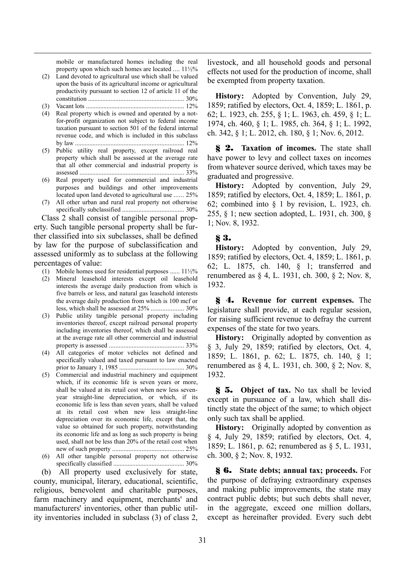mobile or manufactured homes including the real property upon which such homes are located .... 11½%

- (2) Land devoted to agricultural use which shall be valued upon the basis of its agricultural income or agricultural productivity pursuant to section 12 of article 11 of the constitution ........................................................... 30%
- (3) Vacant lots ............................................................. 12%
- (4) Real property which is owned and operated by a notfor-profit organization not subject to federal income taxation pursuant to section 501 of the federal internal revenue code, and which is included in this subclass by law ................................................................... 12%
- (5) Public utility real property, except railroad real property which shall be assessed at the average rate that all other commercial and industrial property is assessed ................................................................. 33%
- (6) Real property used for commercial and industrial purposes and buildings and other improvements located upon land devoted to agricultural use ...... 25%
- (7) All other urban and rural real property not otherwise specifically subclassified ...................................... 30%

Class 2 shall consist of tangible personal property. Such tangible personal property shall be further classified into six subclasses, shall be defined by law for the purpose of subclassification and assessed uniformly as to subclass at the following percentages of value:

- (1) Mobile homes used for residential purposes ...... 11½%
- (2) Mineral leasehold interests except oil leasehold interests the average daily production from which is five barrels or less, and natural gas leasehold interests the average daily production from which is 100 mcf or less, which shall be assessed at 25% .................... 30%
- (3) Public utility tangible personal property including inventories thereof, except railroad personal property including inventories thereof, which shall be assessed at the average rate all other commercial and industrial property is assessed .............................................. 33%
- (4) All categories of motor vehicles not defined and specifically valued and taxed pursuant to law enacted prior to January 1, 1985 ........................................ 30%
- (5) Commercial and industrial machinery and equipment which, if its economic life is seven years or more, shall be valued at its retail cost when new less sevenyear straight-line depreciation, or which, if its economic life is less than seven years, shall be valued at its retail cost when new less straight-line depreciation over its economic life, except that, the value so obtained for such property, notwithstanding its economic life and as long as such property is being used, shall not be less than 20% of the retail cost when new of such property ............................................ 25%
- (6) All other tangible personal property not otherwise specifically classified ............................................ 30%

(b) All property used exclusively for state, county, municipal, literary, educational, scientific, religious, benevolent and charitable purposes, farm machinery and equipment, merchants' and manufacturers' inventories, other than public utility inventories included in subclass (3) of class 2, livestock, and all household goods and personal effects not used for the production of income, shall be exempted from property taxation.

**History:** Adopted by Convention, July 29, 1859; ratified by electors, Oct. 4, 1859; L. 1861, p. 62; L. 1923, ch. 255, § 1; L. 1963, ch. 459, § 1; L. 1974, ch. 460, § 1; L. 1985, ch. 364, § 1; L. 1992, ch. 342, § 1; L. 2012, ch. 180, § 1; Nov. 6, 2012.

**§ 2. Taxation of incomes.** The state shall have power to levy and collect taxes on incomes from whatever source derived, which taxes may be graduated and progressive.

**History:** Adopted by convention, July 29, 1859; ratified by electors, Oct. 4, 1859; L. 1861, p. 62; combined into § 1 by revision, L. 1923, ch. 255, § 1; new section adopted, L. 1931, ch. 300, § 1; Nov. 8, 1932.

### **§ 3.**

**History:** Adopted by convention, July 29, 1859; ratified by electors, Oct. 4, 1859; L. 1861, p. 62; L. 1875, ch. 140, § 1; transferred and renumbered as § 4, L. 1931, ch. 300, § 2; Nov. 8, 1932.

**§ 4. Revenue for current expenses.** The legislature shall provide, at each regular session, for raising sufficient revenue to defray the current expenses of the state for two years.

**History:** Originally adopted by convention as § 3, July 29, 1859; ratified by electors, Oct. 4, 1859; L. 1861, p. 62; L. 1875, ch. 140, § 1; renumbered as § 4, L. 1931, ch. 300, § 2; Nov. 8, 1932.

**§ 5. Object of tax.** No tax shall be levied except in pursuance of a law, which shall distinctly state the object of the same; to which object only such tax shall be applied.

**History:** Originally adopted by convention as § 4, July 29, 1859; ratified by electors, Oct. 4, 1859; L. 1861, p. 62; renumbered as § 5, L. 1931, ch. 300, § 2; Nov. 8, 1932.

**§ 6. State debts; annual tax; proceeds.** For the purpose of defraying extraordinary expenses and making public improvements, the state may contract public debts; but such debts shall never, in the aggregate, exceed one million dollars, except as hereinafter provided. Every such debt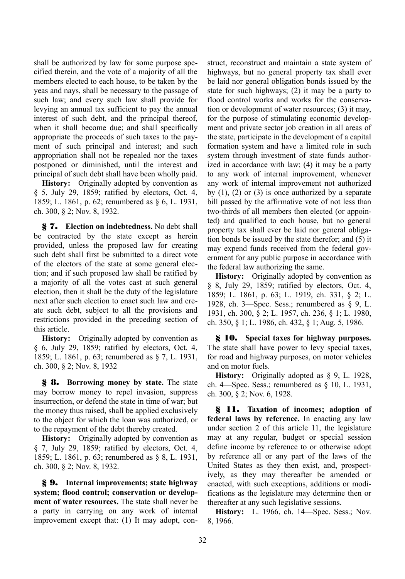shall be authorized by law for some purpose specified therein, and the vote of a majority of all the members elected to each house, to be taken by the yeas and nays, shall be necessary to the passage of such law; and every such law shall provide for levying an annual tax sufficient to pay the annual interest of such debt, and the principal thereof, when it shall become due; and shall specifically appropriate the proceeds of such taxes to the payment of such principal and interest; and such appropriation shall not be repealed nor the taxes postponed or diminished, until the interest and principal of such debt shall have been wholly paid.

**History:** Originally adopted by convention as § 5, July 29, 1859; ratified by electors, Oct. 4, 1859; L. 1861, p. 62; renumbered as § 6, L. 1931, ch. 300, § 2; Nov. 8, 1932.

**§ 7. Election on indebtedness.** No debt shall be contracted by the state except as herein provided, unless the proposed law for creating such debt shall first be submitted to a direct vote of the electors of the state at some general election; and if such proposed law shall be ratified by a majority of all the votes cast at such general election, then it shall be the duty of the legislature next after such election to enact such law and create such debt, subject to all the provisions and restrictions provided in the preceding section of this article.

**History:** Originally adopted by convention as § 6, July 29, 1859; ratified by electors, Oct. 4, 1859; L. 1861, p. 63; renumbered as § 7, L. 1931, ch. 300, § 2; Nov. 8, 1932

**§ 8. Borrowing money by state.** The state may borrow money to repel invasion, suppress insurrection, or defend the state in time of war; but the money thus raised, shall be applied exclusively to the object for which the loan was authorized, or to the repayment of the debt thereby created.

**History:** Originally adopted by convention as § 7, July 29, 1859; ratified by electors, Oct. 4, 1859; L. 1861, p. 63; renumbered as § 8, L. 1931, ch. 300, § 2; Nov. 8, 1932.

**§ 9. Internal improvements; state highway system; flood control; conservation or development of water resources.** The state shall never be a party in carrying on any work of internal improvement except that: (1) It may adopt, construct, reconstruct and maintain a state system of highways, but no general property tax shall ever be laid nor general obligation bonds issued by the state for such highways; (2) it may be a party to flood control works and works for the conservation or development of water resources; (3) it may, for the purpose of stimulating economic development and private sector job creation in all areas of the state, participate in the development of a capital formation system and have a limited role in such system through investment of state funds authorized in accordance with law; (4) it may be a party to any work of internal improvement, whenever any work of internal improvement not authorized by  $(1)$ ,  $(2)$  or  $(3)$  is once authorized by a separate bill passed by the affirmative vote of not less than two-thirds of all members then elected (or appointed) and qualified to each house, but no general property tax shall ever be laid nor general obligation bonds be issued by the state therefor; and (5) it may expend funds received from the federal government for any public purpose in accordance with the federal law authorizing the same.

**History:** Originally adopted by convention as § 8, July 29, 1859; ratified by electors, Oct. 4, 1859; L. 1861, p. 63; L. 1919, ch. 331, § 2; L. 1928, ch. 3—Spec. Sess.; renumbered as  $\S$  9, L. 1931, ch. 300, § 2; L. 1957, ch. 236, § 1; L. 1980, ch. 350, § 1; L. 1986, ch. 432, § 1; Aug. 5, 1986.

**§ 10. Special taxes for highway purposes.** The state shall have power to levy special taxes, for road and highway purposes, on motor vehicles and on motor fuels.

**History:** Originally adopted as § 9, L. 1928, ch. 4—Spec. Sess.; renumbered as § 10, L. 1931, ch. 300, § 2; Nov. 6, 1928.

**§ 11. Taxation of incomes; adoption of federal laws by reference.** In enacting any law under section 2 of this article 11, the legislature may at any regular, budget or special session define income by reference to or otherwise adopt by reference all or any part of the laws of the United States as they then exist, and, prospectively, as they may thereafter be amended or enacted, with such exceptions, additions or modifications as the legislature may determine then or thereafter at any such legislative sessions.

**History:** L. 1966, ch. 14—Spec. Sess.; Nov. 8, 1966.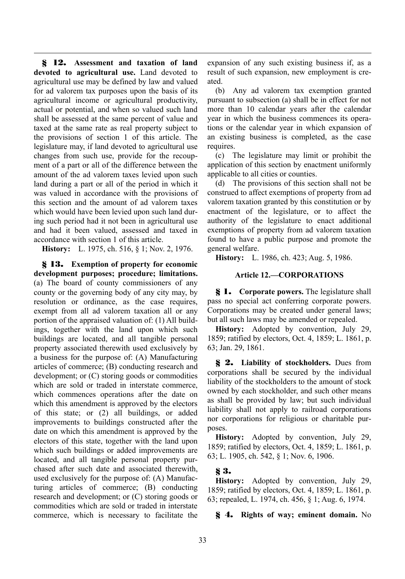**§ 12. Assessment and taxation of land devoted to agricultural use.** Land devoted to agricultural use may be defined by law and valued for ad valorem tax purposes upon the basis of its agricultural income or agricultural productivity, actual or potential, and when so valued such land shall be assessed at the same percent of value and taxed at the same rate as real property subject to the provisions of section 1 of this article. The legislature may, if land devoted to agricultural use changes from such use, provide for the recoupment of a part or all of the difference between the amount of the ad valorem taxes levied upon such land during a part or all of the period in which it was valued in accordance with the provisions of this section and the amount of ad valorem taxes which would have been levied upon such land during such period had it not been in agricultural use and had it been valued, assessed and taxed in accordance with section 1 of this article.

**History:** L. 1975, ch. 516, § 1; Nov. 2, 1976.

**§ 13. Exemption of property for economic development purposes; procedure; limitations.** (a) The board of county commissioners of any county or the governing body of any city may, by resolution or ordinance, as the case requires, exempt from all ad valorem taxation all or any portion of the appraised valuation of: (1) All buildings, together with the land upon which such buildings are located, and all tangible personal property associated therewith used exclusively by a business for the purpose of: (A) Manufacturing articles of commerce; (B) conducting research and development; or (C) storing goods or commodities which are sold or traded in interstate commerce, which commences operations after the date on which this amendment is approved by the electors of this state; or (2) all buildings, or added improvements to buildings constructed after the date on which this amendment is approved by the electors of this state, together with the land upon which such buildings or added improvements are located, and all tangible personal property purchased after such date and associated therewith, used exclusively for the purpose of: (A) Manufacturing articles of commerce; (B) conducting research and development; or (C) storing goods or commodities which are sold or traded in interstate commerce, which is necessary to facilitate the expansion of any such existing business if, as a result of such expansion, new employment is created.

(b) Any ad valorem tax exemption granted pursuant to subsection (a) shall be in effect for not more than 10 calendar years after the calendar year in which the business commences its operations or the calendar year in which expansion of an existing business is completed, as the case requires.

(c) The legislature may limit or prohibit the application of this section by enactment uniformly applicable to all cities or counties.

(d) The provisions of this section shall not be construed to affect exemptions of property from ad valorem taxation granted by this constitution or by enactment of the legislature, or to affect the authority of the legislature to enact additional exemptions of property from ad valorem taxation found to have a public purpose and promote the general welfare.

**History:** L. 1986, ch. 423; Aug. 5, 1986.

### **Article 12.—CORPORATIONS**

**§ 1. Corporate powers.** The legislature shall pass no special act conferring corporate powers. Corporations may be created under general laws; but all such laws may be amended or repealed.

**History:** Adopted by convention, July 29, 1859; ratified by electors, Oct. 4, 1859; L. 1861, p. 63; Jan. 29, 1861.

**§ 2. Liability of stockholders.** Dues from corporations shall be secured by the individual liability of the stockholders to the amount of stock owned by each stockholder, and such other means as shall be provided by law; but such individual liability shall not apply to railroad corporations nor corporations for religious or charitable purposes.

**History:** Adopted by convention, July 29, 1859; ratified by electors, Oct. 4, 1859; L. 1861, p. 63; L. 1905, ch. 542, § 1; Nov. 6, 1906.

# **§ 3.**

**History:** Adopted by convention, July 29, 1859; ratified by electors, Oct. 4, 1859; L. 1861, p. 63; repealed, L. 1974, ch. 456, § 1; Aug. 6, 1974.

**§ 4. Rights of way; eminent domain.** No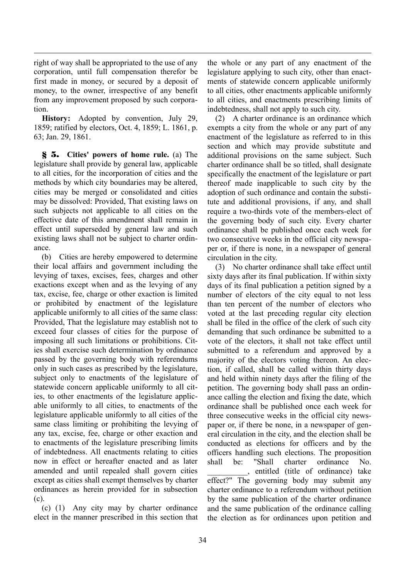right of way shall be appropriated to the use of any corporation, until full compensation therefor be first made in money, or secured by a deposit of money, to the owner, irrespective of any benefit from any improvement proposed by such corporation.

**History:** Adopted by convention, July 29, 1859; ratified by electors, Oct. 4, 1859; L. 1861, p. 63; Jan. 29, 1861.

**§ 5. Cities' powers of home rule.** (a) The legislature shall provide by general law, applicable to all cities, for the incorporation of cities and the methods by which city boundaries may be altered, cities may be merged or consolidated and cities may be dissolved: Provided, That existing laws on such subjects not applicable to all cities on the effective date of this amendment shall remain in effect until superseded by general law and such existing laws shall not be subject to charter ordinance.

(b) Cities are hereby empowered to determine their local affairs and government including the levying of taxes, excises, fees, charges and other exactions except when and as the levying of any tax, excise, fee, charge or other exaction is limited or prohibited by enactment of the legislature applicable uniformly to all cities of the same class: Provided, That the legislature may establish not to exceed four classes of cities for the purpose of imposing all such limitations or prohibitions. Cities shall exercise such determination by ordinance passed by the governing body with referendums only in such cases as prescribed by the legislature, subject only to enactments of the legislature of statewide concern applicable uniformly to all cities, to other enactments of the legislature applicable uniformly to all cities, to enactments of the legislature applicable uniformly to all cities of the same class limiting or prohibiting the levying of any tax, excise, fee, charge or other exaction and to enactments of the legislature prescribing limits of indebtedness. All enactments relating to cities now in effect or hereafter enacted and as later amended and until repealed shall govern cities except as cities shall exempt themselves by charter ordinances as herein provided for in subsection (c).

(c) (1) Any city may by charter ordinance elect in the manner prescribed in this section that the whole or any part of any enactment of the legislature applying to such city, other than enactments of statewide concern applicable uniformly to all cities, other enactments applicable uniformly to all cities, and enactments prescribing limits of indebtedness, shall not apply to such city.

(2) A charter ordinance is an ordinance which exempts a city from the whole or any part of any enactment of the legislature as referred to in this section and which may provide substitute and additional provisions on the same subject. Such charter ordinance shall be so titled, shall designate specifically the enactment of the legislature or part thereof made inapplicable to such city by the adoption of such ordinance and contain the substitute and additional provisions, if any, and shall require a two-thirds vote of the members-elect of the governing body of such city. Every charter ordinance shall be published once each week for two consecutive weeks in the official city newspaper or, if there is none, in a newspaper of general circulation in the city.

(3) No charter ordinance shall take effect until sixty days after its final publication. If within sixty days of its final publication a petition signed by a number of electors of the city equal to not less than ten percent of the number of electors who voted at the last preceding regular city election shall be filed in the office of the clerk of such city demanding that such ordinance be submitted to a vote of the electors, it shall not take effect until submitted to a referendum and approved by a majority of the electors voting thereon. An election, if called, shall be called within thirty days and held within ninety days after the filing of the petition. The governing body shall pass an ordinance calling the election and fixing the date, which ordinance shall be published once each week for three consecutive weeks in the official city newspaper or, if there be none, in a newspaper of general circulation in the city, and the election shall be conducted as elections for officers and by the officers handling such elections. The proposition shall be: "Shall charter ordinance No. \_\_\_\_\_\_\_\_\_\_, entitled (title of ordinance) take effect?" The governing body may submit any charter ordinance to a referendum without petition

by the same publication of the charter ordinance and the same publication of the ordinance calling the election as for ordinances upon petition and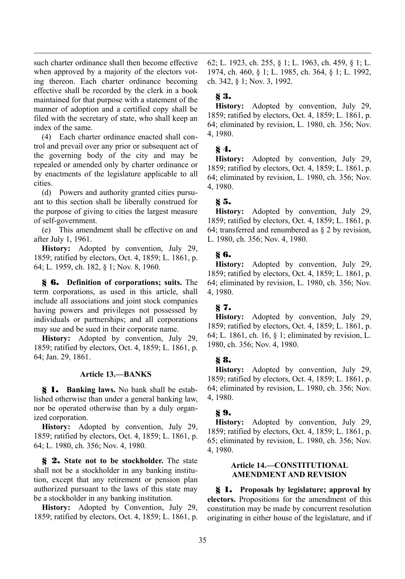such charter ordinance shall then become effective when approved by a majority of the electors voting thereon. Each charter ordinance becoming effective shall be recorded by the clerk in a book maintained for that purpose with a statement of the manner of adoption and a certified copy shall be filed with the secretary of state, who shall keep an index of the same.

(4) Each charter ordinance enacted shall control and prevail over any prior or subsequent act of the governing body of the city and may be repealed or amended only by charter ordinance or by enactments of the legislature applicable to all cities.

(d) Powers and authority granted cities pursuant to this section shall be liberally construed for the purpose of giving to cities the largest measure of self-government.

(e) This amendment shall be effective on and after July 1, 1961.

**History:** Adopted by convention, July 29, 1859; ratified by electors, Oct. 4, 1859; L. 1861, p. 64; L. 1959, ch. 182, § 1; Nov. 8, 1960.

**§ 6. Definition of corporations; suits.** The term corporations, as used in this article, shall include all associations and joint stock companies having powers and privileges not possessed by individuals or partnerships; and all corporations may sue and be sued in their corporate name.

**History:** Adopted by convention, July 29, 1859; ratified by electors, Oct. 4, 1859; L. 1861, p. 64; Jan. 29, 1861.

### **Article 13.—BANKS**

**§ 1. Banking laws.** No bank shall be established otherwise than under a general banking law, nor be operated otherwise than by a duly organized corporation.

**History:** Adopted by convention, July 29, 1859; ratified by electors, Oct. 4, 1859; L. 1861, p. 64; L. 1980, ch. 356; Nov. 4, 1980.

**§ 2. State not to be stockholder.** The state shall not be a stockholder in any banking institution, except that any retirement or pension plan authorized pursuant to the laws of this state may be a stockholder in any banking institution.

**History:** Adopted by Convention, July 29, 1859; ratified by electors, Oct. 4, 1859; L. 1861, p. 62; L. 1923, ch. 255, § 1; L. 1963, ch. 459, § 1; L. 1974, ch. 460, § 1; L. 1985, ch. 364, § 1; L. 1992, ch. 342, § 1; Nov. 3, 1992.

# **§ 3.**

**History:** Adopted by convention, July 29, 1859; ratified by electors, Oct. 4, 1859; L. 1861, p. 64; eliminated by revision, L. 1980, ch. 356; Nov. 4, 1980.

# **§ 4.**

**History:** Adopted by convention, July 29, 1859; ratified by electors, Oct. 4, 1859; L. 1861, p. 64; eliminated by revision, L. 1980, ch. 356; Nov. 4, 1980.

# **§ 5.**

**History:** Adopted by convention, July 29, 1859; ratified by electors, Oct. 4, 1859; L. 1861, p. 64; transferred and renumbered as § 2 by revision, L. 1980, ch. 356; Nov. 4, 1980.

# **§ 6.**

**History:** Adopted by convention, July 29, 1859; ratified by electors, Oct. 4, 1859; L. 1861, p. 64; eliminated by revision, L. 1980, ch. 356; Nov. 4, 1980.

# **§ 7.**

**History:** Adopted by convention, July 29, 1859; ratified by electors, Oct. 4, 1859; L. 1861, p. 64; L. 1861, ch. 16, § 1; eliminated by revision, L. 1980, ch. 356; Nov. 4, 1980.

# **§ 8.**

**History:** Adopted by convention, July 29, 1859; ratified by electors, Oct. 4, 1859; L. 1861, p. 64; eliminated by revision, L. 1980, ch. 356; Nov. 4, 1980.

# **§ 9.**

**History:** Adopted by convention, July 29, 1859; ratified by electors, Oct. 4, 1859; L. 1861, p. 65; eliminated by revision, L. 1980, ch. 356; Nov. 4, 1980.

### **Article 14.—CONSTITUTIONAL AMENDMENT AND REVISION**

**§ 1. Proposals by legislature; approval by electors.** Propositions for the amendment of this constitution may be made by concurrent resolution originating in either house of the legislature, and if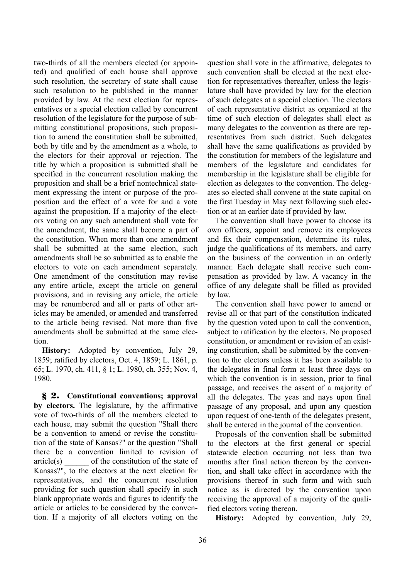two-thirds of all the members elected (or appointed) and qualified of each house shall approve such resolution, the secretary of state shall cause such resolution to be published in the manner provided by law. At the next election for representatives or a special election called by concurrent resolution of the legislature for the purpose of submitting constitutional propositions, such proposition to amend the constitution shall be submitted, both by title and by the amendment as a whole, to the electors for their approval or rejection. The title by which a proposition is submitted shall be specified in the concurrent resolution making the proposition and shall be a brief nontechnical statement expressing the intent or purpose of the proposition and the effect of a vote for and a vote against the proposition. If a majority of the electors voting on any such amendment shall vote for the amendment, the same shall become a part of the constitution. When more than one amendment shall be submitted at the same election, such amendments shall be so submitted as to enable the electors to vote on each amendment separately. One amendment of the constitution may revise any entire article, except the article on general provisions, and in revising any article, the article may be renumbered and all or parts of other articles may be amended, or amended and transferred to the article being revised. Not more than five amendments shall be submitted at the same election.

**History:** Adopted by convention, July 29, 1859; ratified by electors, Oct. 4, 1859; L. 1861, p. 65; L. 1970, ch. 411, § 1; L. 1980, ch. 355; Nov. 4, 1980.

**§ 2. Constitutional conventions; approval by electors.** The legislature, by the affirmative vote of two-thirds of all the members elected to each house, may submit the question "Shall there be a convention to amend or revise the constitution of the state of Kansas?" or the question "Shall there be a convention limited to revision of article(s) \_\_\_\_\_\_ of the constitution of the state of Kansas?", to the electors at the next election for representatives, and the concurrent resolution providing for such question shall specify in such blank appropriate words and figures to identify the article or articles to be considered by the convention. If a majority of all electors voting on the

question shall vote in the affirmative, delegates to such convention shall be elected at the next election for representatives thereafter, unless the legislature shall have provided by law for the election of such delegates at a special election. The electors of each representative district as organized at the time of such election of delegates shall elect as many delegates to the convention as there are representatives from such district. Such delegates shall have the same qualifications as provided by the constitution for members of the legislature and members of the legislature and candidates for membership in the legislature shall be eligible for election as delegates to the convention. The delegates so elected shall convene at the state capital on the first Tuesday in May next following such election or at an earlier date if provided by law.

The convention shall have power to choose its own officers, appoint and remove its employees and fix their compensation, determine its rules, judge the qualifications of its members, and carry on the business of the convention in an orderly manner. Each delegate shall receive such compensation as provided by law. A vacancy in the office of any delegate shall be filled as provided by law.

The convention shall have power to amend or revise all or that part of the constitution indicated by the question voted upon to call the convention, subject to ratification by the electors. No proposed constitution, or amendment or revision of an existing constitution, shall be submitted by the convention to the electors unless it has been available to the delegates in final form at least three days on which the convention is in session, prior to final passage, and receives the assent of a majority of all the delegates. The yeas and nays upon final passage of any proposal, and upon any question upon request of one-tenth of the delegates present, shall be entered in the journal of the convention.

Proposals of the convention shall be submitted to the electors at the first general or special statewide election occurring not less than two months after final action thereon by the convention, and shall take effect in accordance with the provisions thereof in such form and with such notice as is directed by the convention upon receiving the approval of a majority of the qualified electors voting thereon.

**History:** Adopted by convention, July 29,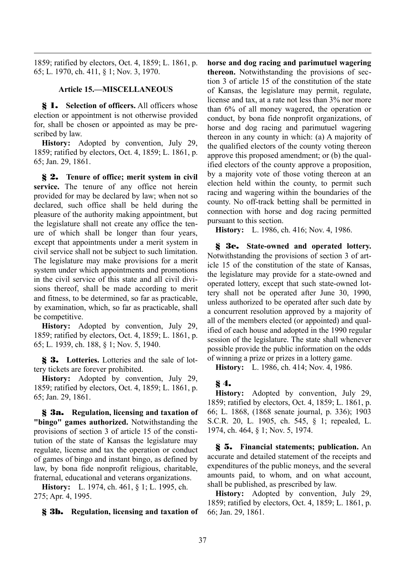1859; ratified by electors, Oct. 4, 1859; L. 1861, p. 65; L. 1970, ch. 411, § 1; Nov. 3, 1970.

#### **Article 15.—MISCELLANEOUS**

**§ 1. Selection of officers.** All officers whose election or appointment is not otherwise provided for, shall be chosen or appointed as may be prescribed by law.

**History:** Adopted by convention, July 29, 1859; ratified by electors, Oct. 4, 1859; L. 1861, p. 65; Jan. 29, 1861.

**§ 2. Tenure of office; merit system in civil service.** The tenure of any office not herein provided for may be declared by law; when not so declared, such office shall be held during the pleasure of the authority making appointment, but the legislature shall not create any office the tenure of which shall be longer than four years, except that appointments under a merit system in civil service shall not be subject to such limitation. The legislature may make provisions for a merit system under which appointments and promotions in the civil service of this state and all civil divisions thereof, shall be made according to merit and fitness, to be determined, so far as practicable, by examination, which, so far as practicable, shall be competitive.

**History:** Adopted by convention, July 29, 1859; ratified by electors, Oct. 4, 1859; L. 1861, p. 65; L. 1939, ch. 188, § 1; Nov. 5, 1940.

**§ 3. Lotteries.** Lotteries and the sale of lottery tickets are forever prohibited.

**History:** Adopted by convention, July 29, 1859; ratified by electors, Oct. 4, 1859; L. 1861, p. 65; Jan. 29, 1861.

**§ 3a. Regulation, licensing and taxation of "bingo" games authorized.** Notwithstanding the provisions of section 3 of article 15 of the constitution of the state of Kansas the legislature may regulate, license and tax the operation or conduct of games of bingo and instant bingo, as defined by law, by bona fide nonprofit religious, charitable, fraternal, educational and veterans organizations.

**History:** L. 1974, ch. 461, § 1; L. 1995, ch. 275; Apr. 4, 1995.

### **§ 3b. Regulation, licensing and taxation of**

**horse and dog racing and parimutuel wagering thereon.** Notwithstanding the provisions of section 3 of article 15 of the constitution of the state of Kansas, the legislature may permit, regulate, license and tax, at a rate not less than 3% nor more than 6% of all money wagered, the operation or conduct, by bona fide nonprofit organizations, of horse and dog racing and parimutuel wagering thereon in any county in which: (a) A majority of the qualified electors of the county voting thereon approve this proposed amendment; or (b) the qualified electors of the county approve a proposition, by a majority vote of those voting thereon at an election held within the county, to permit such racing and wagering within the boundaries of the county. No off-track betting shall be permitted in connection with horse and dog racing permitted pursuant to this section.

**History:** L. 1986, ch. 416; Nov. 4, 1986.

**§ 3c. State-owned and operated lottery.** Notwithstanding the provisions of section 3 of article 15 of the constitution of the state of Kansas, the legislature may provide for a state-owned and operated lottery, except that such state-owned lottery shall not be operated after June 30, 1990, unless authorized to be operated after such date by a concurrent resolution approved by a majority of all of the members elected (or appointed) and qualified of each house and adopted in the 1990 regular session of the legislature. The state shall whenever possible provide the public information on the odds of winning a prize or prizes in a lottery game.

**History:** L. 1986, ch. 414; Nov. 4, 1986.

# **§ 4.**

**History:** Adopted by convention, July 29, 1859; ratified by electors, Oct. 4, 1859; L. 1861, p. 66; L. 1868, (1868 senate journal, p. 336); 1903 S.C.R. 20, L. 1905, ch. 545, § 1; repealed, L. 1974, ch. 464, § 1; Nov. 5, 1974.

**§ 5. Financial statements; publication.** An accurate and detailed statement of the receipts and expenditures of the public moneys, and the several amounts paid, to whom, and on what account, shall be published, as prescribed by law.

**History:** Adopted by convention, July 29, 1859; ratified by electors, Oct. 4, 1859; L. 1861, p. 66; Jan. 29, 1861.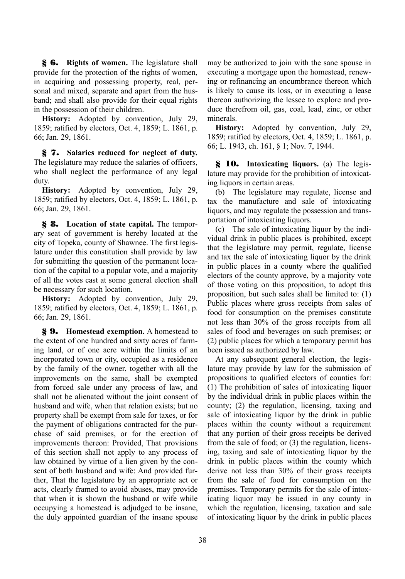**§ 6. Rights of women.** The legislature shall provide for the protection of the rights of women, in acquiring and possessing property, real, personal and mixed, separate and apart from the husband; and shall also provide for their equal rights in the possession of their children.

**History:** Adopted by convention, July 29, 1859; ratified by electors, Oct. 4, 1859; L. 1861, p. 66; Jan. 29, 1861.

**§ 7. Salaries reduced for neglect of duty.** The legislature may reduce the salaries of officers, who shall neglect the performance of any legal duty.

**History:** Adopted by convention, July 29, 1859; ratified by electors, Oct. 4, 1859; L. 1861, p. 66; Jan. 29, 1861.

**§ 8. Location of state capital.** The temporary seat of government is hereby located at the city of Topeka, county of Shawnee. The first legislature under this constitution shall provide by law for submitting the question of the permanent location of the capital to a popular vote, and a majority of all the votes cast at some general election shall be necessary for such location.

**History:** Adopted by convention, July 29, 1859; ratified by electors, Oct. 4, 1859; L. 1861, p. 66; Jan. 29, 1861.

**§ 9. Homestead exemption.** A homestead to the extent of one hundred and sixty acres of farming land, or of one acre within the limits of an incorporated town or city, occupied as a residence by the family of the owner, together with all the improvements on the same, shall be exempted from forced sale under any process of law, and shall not be alienated without the joint consent of husband and wife, when that relation exists; but no property shall be exempt from sale for taxes, or for the payment of obligations contracted for the purchase of said premises, or for the erection of improvements thereon: Provided, That provisions of this section shall not apply to any process of law obtained by virtue of a lien given by the consent of both husband and wife: And provided further, That the legislature by an appropriate act or acts, clearly framed to avoid abuses, may provide that when it is shown the husband or wife while occupying a homestead is adjudged to be insane, the duly appointed guardian of the insane spouse

may be authorized to join with the sane spouse in executing a mortgage upon the homestead, renewing or refinancing an encumbrance thereon which is likely to cause its loss, or in executing a lease thereon authorizing the lessee to explore and produce therefrom oil, gas, coal, lead, zinc, or other minerals.

**History:** Adopted by convention, July 29, 1859; ratified by electors, Oct. 4, 1859; L. 1861, p. 66; L. 1943, ch. 161, § 1; Nov. 7, 1944.

**§ 10. Intoxicating liquors.** (a) The legislature may provide for the prohibition of intoxicating liquors in certain areas.

(b) The legislature may regulate, license and tax the manufacture and sale of intoxicating liquors, and may regulate the possession and transportation of intoxicating liquors.

(c) The sale of intoxicating liquor by the individual drink in public places is prohibited, except that the legislature may permit, regulate, license and tax the sale of intoxicating liquor by the drink in public places in a county where the qualified electors of the county approve, by a majority vote of those voting on this proposition, to adopt this proposition, but such sales shall be limited to: (1) Public places where gross receipts from sales of food for consumption on the premises constitute not less than 30% of the gross receipts from all sales of food and beverages on such premises; or (2) public places for which a temporary permit has been issued as authorized by law.

At any subsequent general election, the legislature may provide by law for the submission of propositions to qualified electors of counties for: (1) The prohibition of sales of intoxicating liquor by the individual drink in public places within the county; (2) the regulation, licensing, taxing and sale of intoxicating liquor by the drink in public places within the county without a requirement that any portion of their gross receipts be derived from the sale of food; or (3) the regulation, licensing, taxing and sale of intoxicating liquor by the drink in public places within the county which derive not less than 30% of their gross receipts from the sale of food for consumption on the premises. Temporary permits for the sale of intoxicating liquor may be issued in any county in which the regulation, licensing, taxation and sale of intoxicating liquor by the drink in public places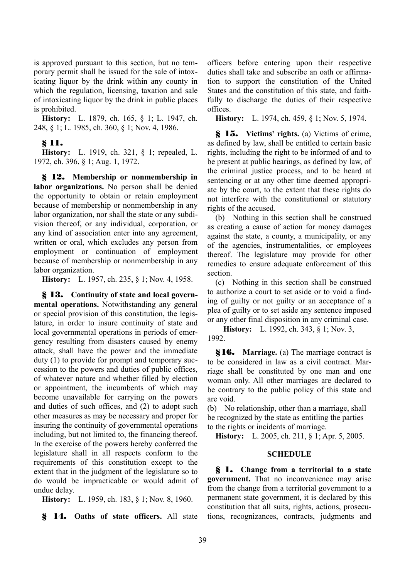is approved pursuant to this section, but no temporary permit shall be issued for the sale of intoxicating liquor by the drink within any county in which the regulation, licensing, taxation and sale of intoxicating liquor by the drink in public places is prohibited.

**History:** L. 1879, ch. 165, § 1; L. 1947, ch. 248, § 1; L. 1985, ch. 360, § 1; Nov. 4, 1986.

### **§ 11.**

**History:** L. 1919, ch. 321, § 1; repealed, L. 1972, ch. 396, § 1; Aug. 1, 1972.

**§ 12. Membership or nonmembership in labor organizations.** No person shall be denied the opportunity to obtain or retain employment because of membership or nonmembership in any labor organization, nor shall the state or any subdivision thereof, or any individual, corporation, or any kind of association enter into any agreement, written or oral, which excludes any person from employment or continuation of employment because of membership or nonmembership in any labor organization.

**History:** L. 1957, ch. 235, § 1; Nov. 4, 1958.

**§ 13. Continuity of state and local governmental operations.** Notwithstanding any general or special provision of this constitution, the legislature, in order to insure continuity of state and local governmental operations in periods of emergency resulting from disasters caused by enemy attack, shall have the power and the immediate duty (1) to provide for prompt and temporary succession to the powers and duties of public offices, of whatever nature and whether filled by election or appointment, the incumbents of which may become unavailable for carrying on the powers and duties of such offices, and (2) to adopt such other measures as may be necessary and proper for insuring the continuity of governmental operations including, but not limited to, the financing thereof. In the exercise of the powers hereby conferred the legislature shall in all respects conform to the requirements of this constitution except to the extent that in the judgment of the legislature so to do would be impracticable or would admit of undue delay.

**History:** L. 1959, ch. 183, § 1; Nov. 8, 1960.

**§ 14. Oaths of state officers.** All state

officers before entering upon their respective duties shall take and subscribe an oath or affirmation to support the constitution of the United States and the constitution of this state, and faithfully to discharge the duties of their respective offices.

**History:** L. 1974, ch. 459, § 1; Nov. 5, 1974.

**§ 15. Victims' rights.** (a) Victims of crime, as defined by law, shall be entitled to certain basic rights, including the right to be informed of and to be present at public hearings, as defined by law, of the criminal justice process, and to be heard at sentencing or at any other time deemed appropriate by the court, to the extent that these rights do not interfere with the constitutional or statutory rights of the accused.

(b) Nothing in this section shall be construed as creating a cause of action for money damages against the state, a county, a municipality, or any of the agencies, instrumentalities, or employees thereof. The legislature may provide for other remedies to ensure adequate enforcement of this section.

(c) Nothing in this section shall be construed to authorize a court to set aside or to void a finding of guilty or not guilty or an acceptance of a plea of guilty or to set aside any sentence imposed or any other final disposition in any criminal case.

**History:** L. 1992, ch. 343, § 1; Nov. 3, 1992.

**§16. Marriage.** (a) The marriage contract is to be considered in law as a civil contract. Marriage shall be constituted by one man and one woman only. All other marriages are declared to be contrary to the public policy of this state and are void.

(b) No relationship, other than a marriage, shall be recognized by the state as entitling the parties to the rights or incidents of marriage.

**History:** L. 2005, ch. 211, § 1; Apr. 5, 2005.

### **SCHEDULE**

**§ 1. Change from a territorial to a state government.** That no inconvenience may arise from the change from a territorial government to a permanent state government, it is declared by this constitution that all suits, rights, actions, prosecutions, recognizances, contracts, judgments and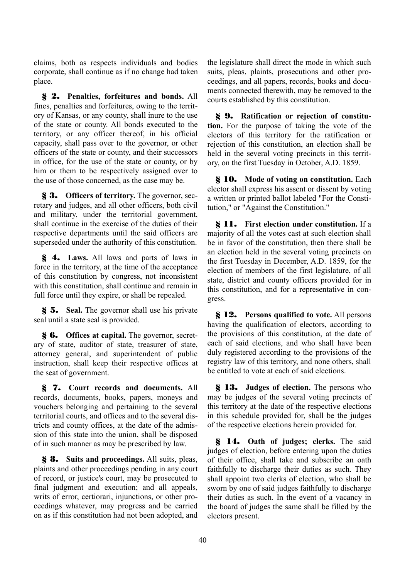claims, both as respects individuals and bodies corporate, shall continue as if no change had taken place.

**§ 2. Penalties, forfeitures and bonds.** All fines, penalties and forfeitures, owing to the territory of Kansas, or any county, shall inure to the use of the state or county. All bonds executed to the territory, or any officer thereof, in his official capacity, shall pass over to the governor, or other officers of the state or county, and their successors in office, for the use of the state or county, or by him or them to be respectively assigned over to the use of those concerned, as the case may be.

**§ 3. Officers of territory.** The governor, secretary and judges, and all other officers, both civil and military, under the territorial government, shall continue in the exercise of the duties of their respective departments until the said officers are superseded under the authority of this constitution.

**§ 4. Laws.** All laws and parts of laws in force in the territory, at the time of the acceptance of this constitution by congress, not inconsistent with this constitution, shall continue and remain in full force until they expire, or shall be repealed.

**§ 5. Seal.** The governor shall use his private seal until a state seal is provided.

**§ 6. Offices at capital.** The governor, secretary of state, auditor of state, treasurer of state, attorney general, and superintendent of public instruction, shall keep their respective offices at the seat of government.

**§ 7. Court records and documents.** All records, documents, books, papers, moneys and vouchers belonging and pertaining to the several territorial courts, and offices and to the several districts and county offices, at the date of the admission of this state into the union, shall be disposed of in such manner as may be prescribed by law.

**§ 8. Suits and proceedings.** All suits, pleas, plaints and other proceedings pending in any court of record, or justice's court, may be prosecuted to final judgment and execution; and all appeals, writs of error, certiorari, injunctions, or other proceedings whatever, may progress and be carried on as if this constitution had not been adopted, and the legislature shall direct the mode in which such suits, pleas, plaints, prosecutions and other proceedings, and all papers, records, books and documents connected therewith, may be removed to the courts established by this constitution.

**§ 9. Ratification or rejection of constitution.** For the purpose of taking the vote of the electors of this territory for the ratification or rejection of this constitution, an election shall be held in the several voting precincts in this territory, on the first Tuesday in October, A.D. 1859.

**§ 10. Mode of voting on constitution.** Each elector shall express his assent or dissent by voting a written or printed ballot labeled "For the Constitution," or "Against the Constitution."

**§ 11. First election under constitution.** If a majority of all the votes cast at such election shall be in favor of the constitution, then there shall be an election held in the several voting precincts on the first Tuesday in December, A.D. 1859, for the election of members of the first legislature, of all state, district and county officers provided for in this constitution, and for a representative in congress.

**§ 12. Persons qualified to vote.** All persons having the qualification of electors, according to the provisions of this constitution, at the date of each of said elections, and who shall have been duly registered according to the provisions of the registry law of this territory, and none others, shall be entitled to vote at each of said elections.

**§ 13. Judges of election.** The persons who may be judges of the several voting precincts of this territory at the date of the respective elections in this schedule provided for, shall be the judges of the respective elections herein provided for.

**§ 14. Oath of judges; clerks.** The said judges of election, before entering upon the duties of their office, shall take and subscribe an oath faithfully to discharge their duties as such. They shall appoint two clerks of election, who shall be sworn by one of said judges faithfully to discharge their duties as such. In the event of a vacancy in the board of judges the same shall be filled by the electors present.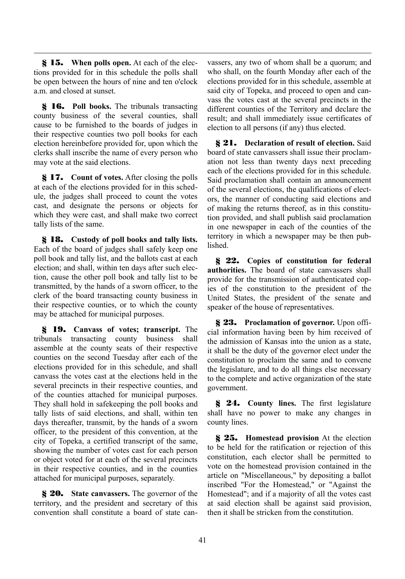**§ 15. When polls open.** At each of the elections provided for in this schedule the polls shall be open between the hours of nine and ten o'clock a.m. and closed at sunset.

**§ 16. Poll books.** The tribunals transacting county business of the several counties, shall cause to be furnished to the boards of judges in their respective counties two poll books for each election hereinbefore provided for, upon which the clerks shall inscribe the name of every person who may vote at the said elections.

**§ 17. Count of votes.** After closing the polls at each of the elections provided for in this schedule, the judges shall proceed to count the votes cast, and designate the persons or objects for which they were cast, and shall make two correct tally lists of the same.

**§ 18. Custody of poll books and tally lists.** Each of the board of judges shall safely keep one poll book and tally list, and the ballots cast at each election; and shall, within ten days after such election, cause the other poll book and tally list to be transmitted, by the hands of a sworn officer, to the clerk of the board transacting county business in their respective counties, or to which the county may be attached for municipal purposes.

**§ 19. Canvass of votes; transcript.** The tribunals transacting county business shall assemble at the county seats of their respective counties on the second Tuesday after each of the elections provided for in this schedule, and shall canvass the votes cast at the elections held in the several precincts in their respective counties, and of the counties attached for municipal purposes. They shall hold in safekeeping the poll books and tally lists of said elections, and shall, within ten days thereafter, transmit, by the hands of a sworn officer, to the president of this convention, at the city of Topeka, a certified transcript of the same, showing the number of votes cast for each person or object voted for at each of the several precincts in their respective counties, and in the counties attached for municipal purposes, separately.

**§ 20. State canvassers.** The governor of the territory, and the president and secretary of this convention shall constitute a board of state canvassers, any two of whom shall be a quorum; and who shall, on the fourth Monday after each of the elections provided for in this schedule, assemble at said city of Topeka, and proceed to open and canvass the votes cast at the several precincts in the different counties of the Territory and declare the result; and shall immediately issue certificates of election to all persons (if any) thus elected.

**§ 21. Declaration of result of election.** Said board of state canvassers shall issue their proclamation not less than twenty days next preceding each of the elections provided for in this schedule. Said proclamation shall contain an announcement of the several elections, the qualifications of electors, the manner of conducting said elections and of making the returns thereof, as in this constitution provided, and shall publish said proclamation in one newspaper in each of the counties of the territory in which a newspaper may be then published.

**§ 22. Copies of constitution for federal authorities.** The board of state canvassers shall provide for the transmission of authenticated copies of the constitution to the president of the United States, the president of the senate and speaker of the house of representatives.

**§ 23. Proclamation of governor.** Upon official information having been by him received of the admission of Kansas into the union as a state, it shall be the duty of the governor elect under the constitution to proclaim the same and to convene the legislature, and to do all things else necessary to the complete and active organization of the state government.

**§ 24. County lines.** The first legislature shall have no power to make any changes in county lines.

**§ 25. Homestead provision** At the election to be held for the ratification or rejection of this constitution, each elector shall be permitted to vote on the homestead provision contained in the article on "Miscellaneous," by depositing a ballot inscribed "For the Homestead," or "Against the Homestead"; and if a majority of all the votes cast at said election shall be against said provision, then it shall be stricken from the constitution.